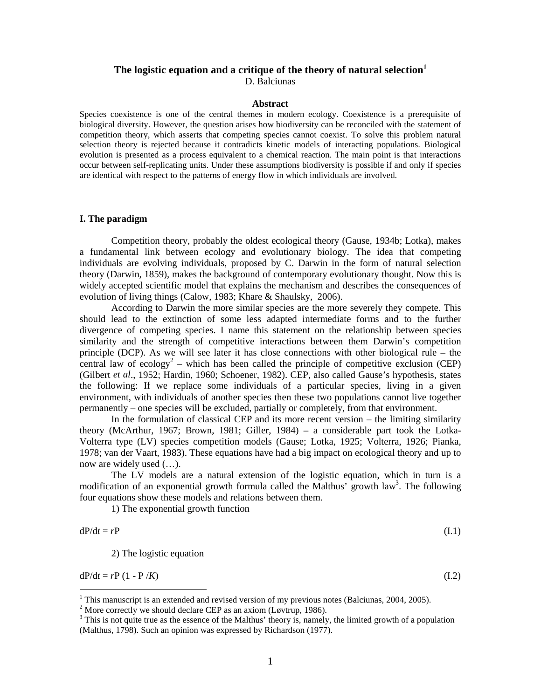# The logistic equation and a critique of the theory of natural selection<sup>1</sup>

D. Balciunas

### **Abstract**

Species coexistence is one of the central themes in modern ecology. Coexistence is a prerequisite of biological diversity. However, the question arises how biodiversity can be reconciled with the statement of competition theory, which asserts that competing species cannot coexist. To solve this problem natural selection theory is rejected because it contradicts kinetic models of interacting populations. Biological evolution is presented as a process equivalent to a chemical reaction. The main point is that interactions occur between self-replicating units. Under these assumptions biodiversity is possible if and only if species are identical with respect to the patterns of energy flow in which individuals are involved.

## **I. The paradigm**

Competition theory, probably the oldest ecological theory (Gause, 1934b; Lotka), makes a fundamental link between ecology and evolutionary biology. The idea that competing individuals are evolving individuals, proposed by C. Darwin in the form of natural selection theory (Darwin, 1859), makes the background of contemporary evolutionary thought. Now this is widely accepted scientific model that explains the mechanism and describes the consequences of evolution of living things (Calow, 1983; Khare & Shaulsky, 2006).

According to Darwin the more similar species are the more severely they compete. This should lead to the extinction of some less adapted intermediate forms and to the further divergence of competing species. I name this statement on the relationship between species similarity and the strength of competitive interactions between them Darwin's competition principle (DCP). As we will see later it has close connections with other biological rule – the central law of ecology<sup>2</sup> – which has been called the principle of competitive exclusion (CEP) (Gilbert *et al*., 1952; Hardin, 1960; Schoener, 1982). CEP, also called Gause's hypothesis, states the following: If we replace some individuals of a particular species, living in a given environment, with individuals of another species then these two populations cannot live together permanently – one species will be excluded, partially or completely, from that environment.

In the formulation of classical CEP and its more recent version – the limiting similarity theory (McArthur, 1967; Brown, 1981; Giller, 1984) – a considerable part took the Lotka-Volterra type (LV) species competition models (Gause; Lotka, 1925; Volterra, 1926; Pianka, 1978; van der Vaart, 1983). These equations have had a big impact on ecological theory and up to now are widely used (…).

The LV models are a natural extension of the logistic equation, which in turn is a modification of an exponential growth formula called the Malthus' growth law<sup>3</sup>. The following four equations show these models and relations between them.

1) The exponential growth function

$$
dP/dt = rP \tag{I.1}
$$

2) The logistic equation

 $dP/dt = rP (1 - P/K)$  (I.2)

<sup>&</sup>lt;sup>1</sup> This manuscript is an extended and revised version of my previous notes (Balciunas, 2004, 2005).

<sup>&</sup>lt;sup>2</sup> More correctly we should declare CEP as an axiom (Løvtrup, 1986). <sup>3</sup> This is not quite true as the assence of the Malthus' theory is namely

<sup>&</sup>lt;sup>3</sup> This is not quite true as the essence of the Malthus' theory is, namely, the limited growth of a population (Malthus, 1798). Such an opinion was expressed by Richardson (1977).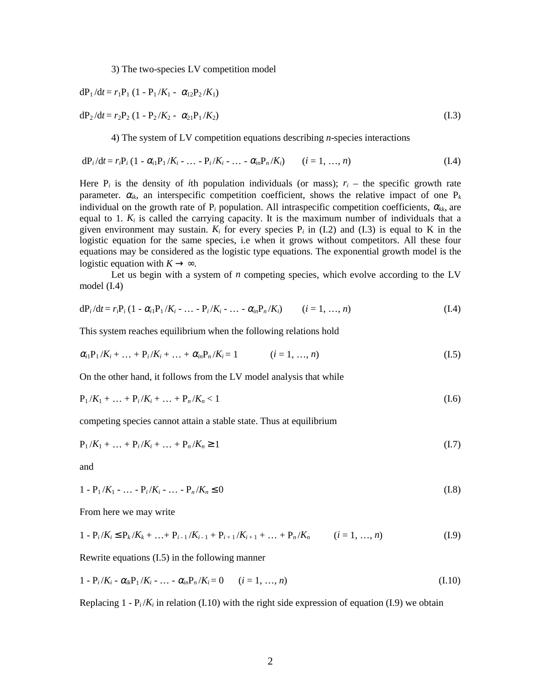3) The two-species LV competition model

$$
dP_1/dt = r_1P_1 (1 - P_1/K_1 - \alpha_{12}P_2/K_1)
$$

$$
dP_2/dt = r_2P_2 (1 - P_2/K_2 - \alpha_{21}P_1/K_2)
$$
\n(1.3)

4) The system of LV competition equations describing *n*-species interactions

$$
dP_i/dt = r_i P_i (1 - \alpha_i P_1/K_i - \dots - P_i/K_i - \dots - \alpha_i P_n/K_i) \qquad (i = 1, \dots, n)
$$
 (I.4)

Here  $P_i$  is the density of *i*th population individuals (or mass);  $r_i$  – the specific growth rate parameter.  $\alpha_{ik}$ , an interspecific competition coefficient, shows the relative impact of one  $P_k$ individual on the growth rate of  $P_i$  population. All intraspecific competition coefficients,  $\alpha_{kk}$ , are equal to 1.  $K_i$  is called the carrying capacity. It is the maximum number of individuals that a given environment may sustain.  $K_i$  for every species  $P_i$  in (I.2) and (I.3) is equal to K in the logistic equation for the same species, i.e when it grows without competitors. All these four equations may be considered as the logistic type equations. The exponential growth model is the logistic equation with  $K \rightarrow \infty$ .

Let us begin with a system of *n* competing species, which evolve according to the LV model (I.4)

$$
dP_i/dt = r_i P_i (1 - \alpha_{i1} P_1/K_i - \dots - P_i/K_i - \dots - \alpha_{in} P_n/K_i)
$$
 (*i* = 1, ..., *n*) (I.4)

This system reaches equilibrium when the following relations hold

$$
\alpha_{i1}P_1/K_i + \dots + P_i/K_i + \dots + \alpha_{in}P_n/K_i = 1 \qquad (i = 1, \dots, n)
$$
\n(1.5)

On the other hand, it follows from the LV model analysis that while

$$
P_1/K_1 + \dots + P_i/K_i + \dots + P_n/K_n < 1 \tag{I.6}
$$

competing species cannot attain a stable state. Thus at equilibrium

$$
P_1/K_1 + \dots + P_i/K_i + \dots + P_n/K_n \ge 1
$$
\n(1.7)

and

$$
1 - P_1/K_1 - \dots - P_i/K_i - \dots - P_n/K_n \le 0
$$
\n(1.8)

From here we may write

$$
1 - P_i/K_i \le P_k/K_k + \ldots + P_{i-1}/K_{i-1} + P_{i+1}/K_{i+1} + \ldots + P_n/K_n \qquad (i = 1, \ldots, n)
$$
\n(1.9)

Rewrite equations (I.5) in the following manner

$$
1 - P_i/K_i - \alpha_{ik}P_1/K_i - \dots - \alpha_{in}P_n/K_i = 0 \qquad (i = 1, ..., n)
$$
\n(1.10)

Replacing  $1 - P_i/K_i$  in relation (I.10) with the right side expression of equation (I.9) we obtain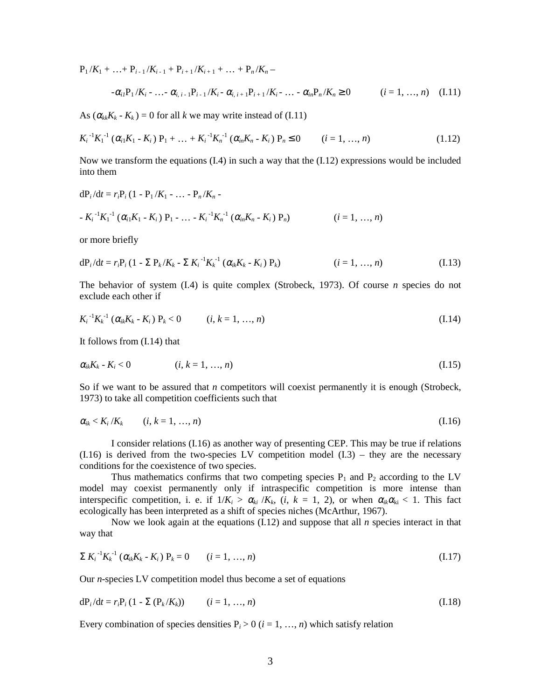$P_1/K_1 + ... + P_{i-1}/K_{i-1} + P_{i+1}/K_{i+1} + ... + P_n/K_n -$ 

$$
-\alpha_{i1}P_1/K_i - \ldots - \alpha_{i,i-1}P_{i-1}/K_i - \alpha_{i,i+1}P_{i+1}/K_i - \ldots - \alpha_{in}P_n/K_n \ge 0 \qquad (i = 1, ..., n) \quad (I.11)
$$

As  $(\alpha_{kk}K_k - K_k) = 0$  for all *k* we may write instead of (I.11)

$$
K_i^{-1}K_1^{-1}(\alpha_{i1}K_1 - K_i) P_1 + \dots + K_i^{-1}K_n^{-1}(\alpha_{in}K_n - K_i) P_n \le 0 \qquad (i = 1, ..., n)
$$
\n(1.12)

Now we transform the equations  $(1.4)$  in such a way that the  $(1.12)$  expressions would be included into them

$$
dP_i/dt = r_iP_i (1 - P_1/K_1 - ... - P_n/K_n -
$$
  
- K<sub>i</sub><sup>-1</sup>K<sub>1</sub><sup>-1</sup> ( $\alpha_{i1}K_1 - K_i$ ) P<sub>1</sub> - ... - K<sub>i</sub><sup>-1</sup>K<sub>n</sub><sup>-1</sup> ( $\alpha_{in}K_n - K_i$ ) P<sub>n</sub>)   
(i = 1, ..., n)

or more briefly

$$
dP_i/dt = r_i P_i (1 - \sum P_k / K_k - \sum K_i^{-1} K_k^{-1} (\alpha_{ik} K_k - K_i) P_k)
$$
 (i = 1, ..., n) (I.13)

The behavior of system (I.4) is quite complex (Strobeck, 1973). Of course *n* species do not exclude each other if

$$
K_i^{-1}K_k^{-1}(\alpha_{ik}K_k - K_i) P_k < 0 \qquad (i, k = 1, ..., n)
$$
 (I.14)

It follows from (I.14) that

$$
\alpha_{ik}K_k - K_i < 0 \qquad (i, k = 1, ..., n) \qquad (1.15)
$$

So if we want to be assured that *n* competitors will coexist permanently it is enough (Strobeck, 1973) to take all competition coefficients such that

$$
\alpha_{ik} < K_i / K_k \qquad (i, k = 1, \ldots, n) \tag{I.16}
$$

I consider relations (I.16) as another way of presenting CEP. This may be true if relations  $(1.16)$  is derived from the two-species LV competition model  $(1.3)$  – they are the necessary conditions for the coexistence of two species.

Thus mathematics confirms that two competing species  $P_1$  and  $P_2$  according to the LV model may coexist permanently only if intraspecific competition is more intense than interspecific competition, i. e. if  $1/K_i > \alpha_{ki}/K_k$ ,  $(i, k = 1, 2)$ , or when  $\alpha_{ik}\alpha_{ki} < 1$ . This fact ecologically has been interpreted as a shift of species niches (McArthur, 1967).

Now we look again at the equations (I.12) and suppose that all *n* species interact in that way that

$$
\sum K_i^{-1} K_k^{-1} (\alpha_{ik} K_k - K_i) P_k = 0 \qquad (i = 1, ..., n)
$$
 (I.17)

Our *n*-species LV competition model thus become a set of equations

$$
dP_i/dt = r_i P_i (1 - \Sigma (P_k/K_k)) \qquad (i = 1, ..., n)
$$
\n(1.18)

Every combination of species densities  $P_i > 0$  ( $i = 1, ..., n$ ) which satisfy relation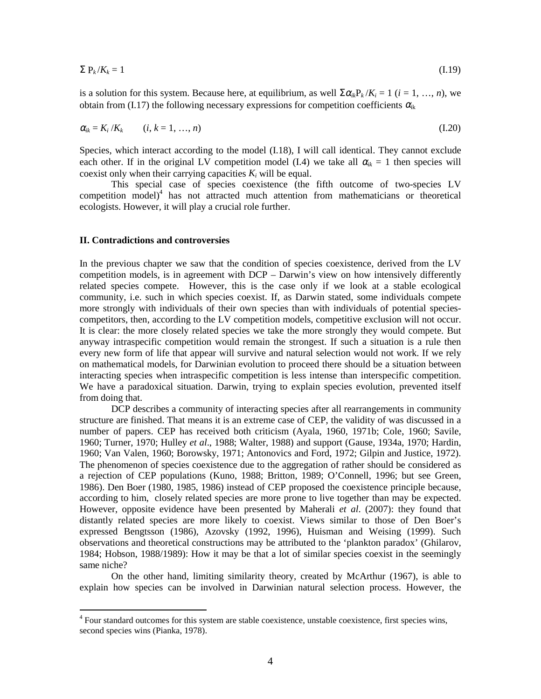$$
\sum P_k / K_k = 1 \tag{I.19}
$$

is a solution for this system. Because here, at equilibrium, as well  $\sum \alpha_i P_k/K_i = 1$  ( $i = 1, ..., n$ ), we obtain from (I.17) the following necessary expressions for competition coefficients  $\alpha_{ik}$ 

$$
\alpha_{ik} = K_i / K_k \qquad (i, k = 1, \ldots, n) \tag{I.20}
$$

Species, which interact according to the model (I.18), I will call identical. They cannot exclude each other. If in the original LV competition model (I.4) we take all  $\alpha_{ik} = 1$  then species will coexist only when their carrying capacities  $K_i$  will be equal.

This special case of species coexistence (the fifth outcome of two-species LV competition model)<sup>4</sup> has not attracted much attention from mathematicians or theoretical ecologists. However, it will play a crucial role further.

## **II. Contradictions and controversies**

In the previous chapter we saw that the condition of species coexistence, derived from the LV competition models, is in agreement with DCP – Darwin's view on how intensively differently related species compete. However, this is the case only if we look at a stable ecological community, i.e. such in which species coexist. If, as Darwin stated, some individuals compete more strongly with individuals of their own species than with individuals of potential speciescompetitors, then, according to the LV competition models, competitive exclusion will not occur. It is clear: the more closely related species we take the more strongly they would compete. But anyway intraspecific competition would remain the strongest. If such a situation is a rule then every new form of life that appear will survive and natural selection would not work. If we rely on mathematical models, for Darwinian evolution to proceed there should be a situation between interacting species when intraspecific competition is less intense than interspecific competition. We have a paradoxical situation. Darwin, trying to explain species evolution, prevented itself from doing that.

DCP describes a community of interacting species after all rearrangements in community structure are finished. That means it is an extreme case of CEP, the validity of was discussed in a number of papers. CEP has received both criticism (Ayala, 1960, 1971b; Cole, 1960; Savile, 1960; Turner, 1970; Hulley *et al*., 1988; Walter, 1988) and support (Gause, 1934a, 1970; Hardin, 1960; Van Valen, 1960; Borowsky, 1971; Antonovics and Ford, 1972; Gilpin and Justice, 1972). The phenomenon of species coexistence due to the aggregation of rather should be considered as a rejection of CEP populations (Kuno, 1988; Britton, 1989; O'Connell, 1996; but see Green, 1986). Den Boer (1980, 1985, 1986) instead of CEP proposed the coexistence principle because, according to him, closely related species are more prone to live together than may be expected. However, opposite evidence have been presented by Maherali *et al*. (2007): they found that distantly related species are more likely to coexist. Views similar to those of Den Boer's expressed Bengtsson (1986), Azovsky (1992, 1996), Huisman and Weising (1999). Such observations and theoretical constructions may be attributed to the 'plankton paradox' (Ghilarov, 1984; Hobson, 1988/1989): How it may be that a lot of similar species coexist in the seemingly same niche?

On the other hand, limiting similarity theory, created by McArthur (1967), is able to explain how species can be involved in Darwinian natural selection process. However, the

 4 Four standard outcomes for this system are stable coexistence, unstable coexistence, first species wins, second species wins (Pianka, 1978).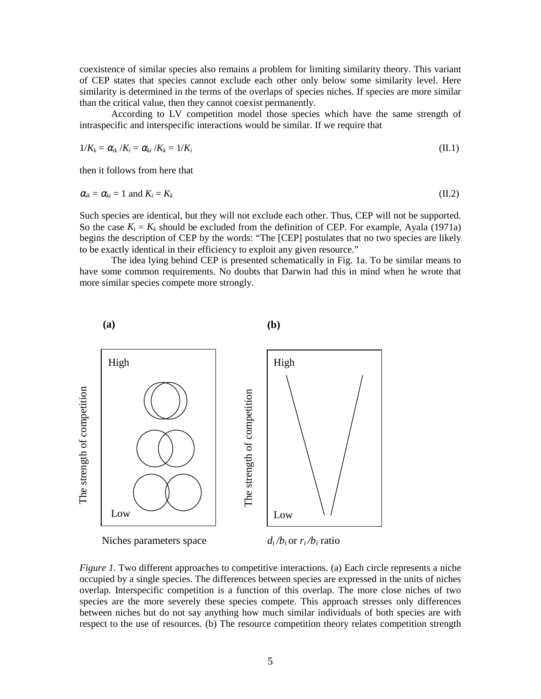coexistence of similar species also remains a problem for limiting similarity theory. This variant of CEP states that species cannot exclude each other only below some similarity level. Here similarity is determined in the terms of the overlaps of species niches. If species are more similar than the critical value, then they cannot coexist permanently.

According to LV competition model those species which have the same strength of intraspecific and interspecific interactions would be similar. If we require that

$$
1/K_k = \alpha_{ik}/K_i = \alpha_{ki}/K_k = 1/K_i
$$
\n(II.1)

then it follows from here that

$$
\alpha_{ik} = \alpha_{ki} = 1 \text{ and } K_i = K_k \tag{II.2}
$$

Such species are identical, but they will not exclude each other. Thus, CEP will not be supported. So the case  $K_i = K_k$  should be excluded from the definition of CEP. For example, Ayala (1971a) begins the description of CEP by the words: "The [CEP] postulates that no two species are likely to be exactly identical in their efficiency to exploit any given resource."

The idea lying behind CEP is presented schematically in Fig. 1a. To be similar means to have some common requirements. No doubts that Darwin had this in mind when he wrote that more similar species compete more strongly.



*Figure 1*. Two different approaches to competitive interactions. (a) Each circle represents a niche occupied by a single species. The differences between species are expressed in the units of niches overlap. Interspecific competition is a function of this overlap. The more close niches of two species are the more severely these species compete. This approach stresses only differences between niches but do not say anything how much similar individuals of both species are with respect to the use of resources. (b) The resource competition theory relates competition strength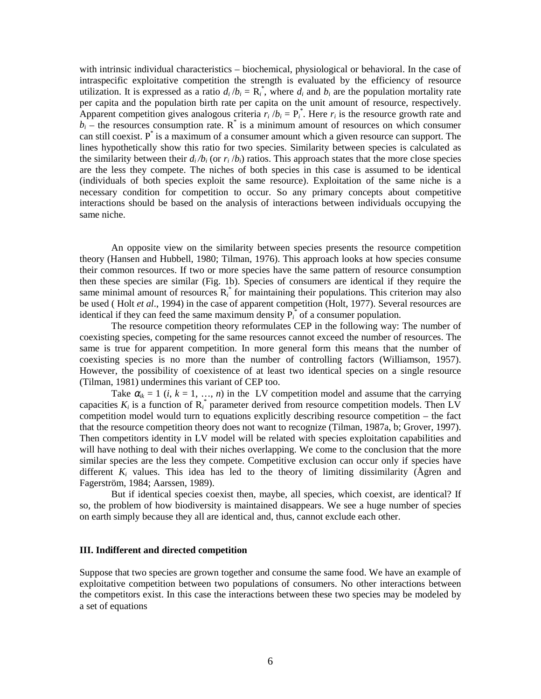with intrinsic individual characteristics – biochemical, physiological or behavioral. In the case of intraspecific exploitative competition the strength is evaluated by the efficiency of resource utilization. It is expressed as a ratio  $d_i/b_i = \mathbf{R}_i^*$ , where  $d_i$  and  $b_i$  are the population mortality rate per capita and the population birth rate per capita on the unit amount of resource, respectively. Apparent competition gives analogous criteria  $r_i/b_i = P_i^*$ . Here  $r_i$  is the resource growth rate and  $b_i$  – the resources consumption rate.  $R^*$  is a minimum amount of resources on which consumer can still coexist.  $P^*$  is a maximum of a consumer amount which a given resource can support. The lines hypothetically show this ratio for two species. Similarity between species is calculated as the similarity between their  $d_i/b_i$  (or  $r_i/b_i$ ) ratios. This approach states that the more close species are the less they compete. The niches of both species in this case is assumed to be identical (individuals of both species exploit the same resource). Exploitation of the same niche is a necessary condition for competition to occur. So any primary concepts about competitive interactions should be based on the analysis of interactions between individuals occupying the same niche.

An opposite view on the similarity between species presents the resource competition theory (Hansen and Hubbell, 1980; Tilman, 1976). This approach looks at how species consume their common resources. If two or more species have the same pattern of resource consumption then these species are similar (Fig. 1b). Species of consumers are identical if they require the same minimal amount of resources R<sub>i</sub><sup>\*</sup> for maintaining their populations. This criterion may also be used ( Holt *et al*., 1994) in the case of apparent competition (Holt, 1977). Several resources are identical if they can feed the same maximum density  $P_i^*$  of a consumer population.

The resource competition theory reformulates CEP in the following way: The number of coexisting species, competing for the same resources cannot exceed the number of resources. The same is true for apparent competition. In more general form this means that the number of coexisting species is no more than the number of controlling factors (Williamson, 1957). However, the possibility of coexistence of at least two identical species on a single resource (Tilman, 1981) undermines this variant of CEP too.

Take  $\alpha_{ik} = 1$  (*i*,  $k = 1, ..., n$ ) in the LV competition model and assume that the carrying capacities  $K_i$  is a function of  $R_i^*$  parameter derived from resource competition models. Then LV competition model would turn to equations explicitly describing resource competition – the fact that the resource competition theory does not want to recognize (Tilman, 1987a, b; Grover, 1997). Then competitors identity in LV model will be related with species exploitation capabilities and will have nothing to deal with their niches overlapping. We come to the conclusion that the more similar species are the less they compete. Competitive exclusion can occur only if species have different  $K_i$  values. This idea has led to the theory of limiting dissimilarity ( $\AA$ gren and Fagerström, 1984; Aarssen, 1989).

But if identical species coexist then, maybe, all species, which coexist, are identical? If so, the problem of how biodiversity is maintained disappears. We see a huge number of species on earth simply because they all are identical and, thus, cannot exclude each other.

#### **III. Indifferent and directed competition**

Suppose that two species are grown together and consume the same food. We have an example of exploitative competition between two populations of consumers. No other interactions between the competitors exist. In this case the interactions between these two species may be modeled by a set of equations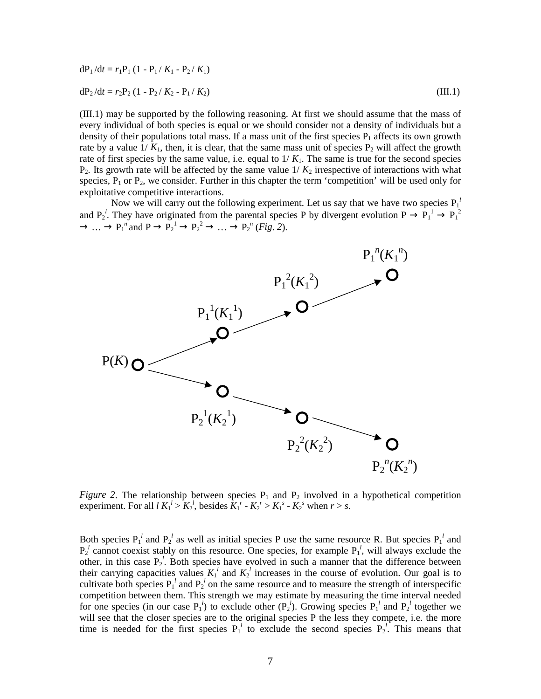$$
dP_1/dt = r_1P_1 (1 - P_1/K_1 - P_2/K_1)
$$
  
\n
$$
dP_2/dt = r_2P_2 (1 - P_2/K_2 - P_1/K_2)
$$
\n(III.1)

(III.1) may be supported by the following reasoning. At first we should assume that the mass of every individual of both species is equal or we should consider not a density of individuals but a density of their populations total mass. If a mass unit of the first species  $P_1$  affects its own growth rate by a value  $1/K_1$ , then, it is clear, that the same mass unit of species  $P_2$  will affect the growth rate of first species by the same value, i.e. equal to  $1/K_1$ . The same is true for the second species  $P_2$ . Its growth rate will be affected by the same value  $1/K_2$  irrespective of interactions with what species,  $P_1$  or  $P_2$ , we consider. Further in this chapter the term 'competition' will be used only for exploitative competitive interactions.

Now we will carry out the following experiment. Let us say that we have two species  $P_1^{\ l}$ and  $P_2^l$ . They have originated from the parental species P by divergent evolution  $P \to P_1^l \to P_1^2$  $\rightarrow \dots \rightarrow P_1^{\ n}$  and  $P \rightarrow P_2^{\ 1} \rightarrow P_2^{\ 2} \rightarrow \dots \rightarrow P_2^{\ n}$  (*Fig. 2*).



*Figure* 2. The relationship between species  $P_1$  and  $P_2$  involved in a hypothetical competition experiment. For all  $l K_1^l > K_2^l$ , besides  $K_1^r - K_2^r > K_1^s - K_2^s$  when  $r > s$ .

Both species  $P_1^l$  and  $P_2^l$  as well as initial species P use the same resource R. But species  $P_1^l$  and  $P_2^l$  cannot coexist stably on this resource. One species, for example  $P_1^l$ , will always exclude the other, in this case  $P_2^l$ . Both species have evolved in such a manner that the difference between their carrying capacities values  $K_1^l$  and  $K_2^l$  increases in the course of evolution. Our goal is to cultivate both species  $P_1^{\ i}$  and  $P_2^{\ i}$  on the same resource and to measure the strength of interspecific competition between them. This strength we may estimate by measuring the time interval needed for one species (in our case  $P_1^l$ ) to exclude other  $(P_2^l)$ . Growing species  $P_1^l$  and  $P_2^l$  together we will see that the closer species are to the original species P the less they compete, i.e. the more time is needed for the first species  $P_1^l$  to exclude the second species  $P_2^l$ . This means that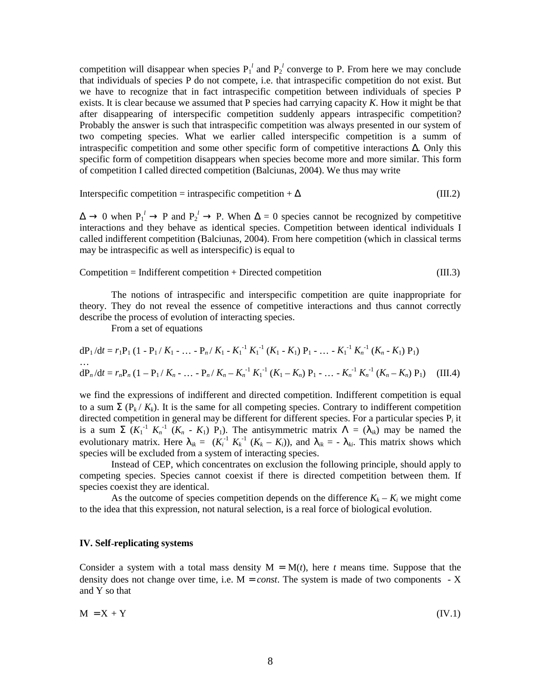competition will disappear when species  $P_1^l$  and  $P_2^l$  converge to P. From here we may conclude that individuals of species P do not compete, i.e. that intraspecific competition do not exist. But we have to recognize that in fact intraspecific competition between individuals of species P exists. It is clear because we assumed that P species had carrying capacity *K*. How it might be that after disappearing of interspecific competition suddenly appears intraspecific competition? Probably the answer is such that intraspecific competition was always presented in our system of two competing species. What we earlier called interspecific competition is a summ of intraspecific competition and some other specific form of competitive interactions ∆. Only this specific form of competition disappears when species become more and more similar. This form of competition I called directed competition (Balciunas, 2004). We thus may write

$$
Interspecific competition = intraspecific competition + \Delta
$$
 (III.2)

 $\Delta \to 0$  when  $P_1^l \to P$  and  $P_2^l \to P$ . When  $\Delta = 0$  species cannot be recognized by competitive interactions and they behave as identical species. Competition between identical individuals I called indifferent competition (Balciunas, 2004). From here competition (which in classical terms may be intraspecific as well as interspecific) is equal to

$$
Competition = Indifferent competition + Directed competition
$$
\n
$$
(III.3)
$$

The notions of intraspecific and interspecific competition are quite inappropriate for theory. They do not reveal the essence of competitive interactions and thus cannot correctly describe the process of evolution of interacting species.

From a set of equations

$$
dP_1/dt = r_1P_1 (1 - P_1/K_1 - ... - P_n/K_1 - K_1^{-1} K_1^{-1} (K_1 - K_1) P_1 - ... - K_1^{-1} K_n^{-1} (K_n - K_1) P_1)
$$
  
...  

$$
dP_n/dt = r_nP_n (1 - P_1/K_n - ... - P_n/K_n - K_n^{-1} K_1^{-1} (K_1 - K_n) P_1 - ... - K_n^{-1} K_n^{-1} (K_n - K_n) P_1)
$$
 (III.4)

we find the expressions of indifferent and directed competition. Indifferent competition is equal to a sum  $\Sigma$  ( $P_k / K_k$ ). It is the same for all competing species. Contrary to indifferent competition directed competition in general may be different for different species. For a particular species P*i* it is a sum  $\Sigma$   $(K_1^{-1} K_n^{-1} (K_n - K_1) P_1)$ . The antisymmetric matrix  $\Lambda = (\lambda_{ik})$  may be named the evolutionary matrix. Here  $\lambda_{ik} = (K_i^{-1} K_k^{-1} (K_k - K_i))$ , and  $\lambda_{ik} = -\lambda_{ki}$ . This matrix shows which species will be excluded from a system of interacting species.

Instead of CEP, which concentrates on exclusion the following principle, should apply to competing species. Species cannot coexist if there is directed competition between them. If species coexist they are identical.

As the outcome of species competition depends on the difference  $K_k - K_i$  we might come to the idea that this expression, not natural selection, is a real force of biological evolution.

# **IV. Self**-**replicating systems**

Consider a system with a total mass density  $M = M(t)$ , here *t* means time. Suppose that the density does not change over time, i.e.  $M = const$ . The system is made of two components  $-X$ and Y so that

$$
M = X + Y \tag{IV.1}
$$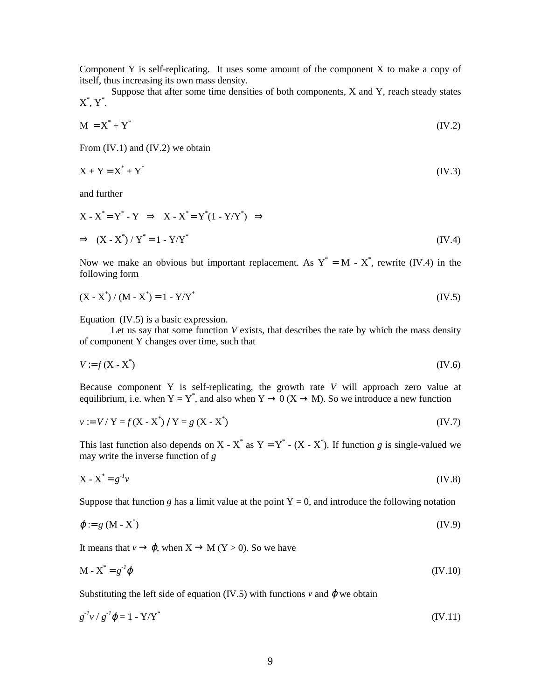Component Y is self-replicating. It uses some amount of the component X to make a copy of itself, thus increasing its own mass density.

Suppose that after some time densities of both components, X and Y, reach steady states  $X^*, Y^*.$ 

$$
M = X^* + Y^* \tag{IV.2}
$$

From (IV.1) and (IV.2) we obtain

$$
X + Y = X^* + Y^* \tag{IV.3}
$$

and further

$$
X - X^* = Y^* - Y \implies X - X^* = Y^*(1 - Y/Y^*) \implies
$$
  
\n
$$
\implies (X - X^*) / Y^* = 1 - Y/Y^*
$$
\n(IV.4)

Now we make an obvious but important replacement. As  $Y^* = M - X^*$ , rewrite (IV.4) in the following form

$$
(X - X^*) / (M - X^*) = 1 - Y/Y^*
$$
 (IV.5)

Equation (IV.5) is a basic expression.

Let us say that some function *V* exists, that describes the rate by which the mass density of component Y changes over time, such that

$$
V := f(X - X^*)
$$
 (IV.6)

Because component Y is self-replicating, the growth rate *V* will approach zero value at equilibrium, i.e. when  $Y = Y^*$ , and also when  $Y \to 0$  ( $X \to M$ ). So we introduce a new function

$$
v := V / Y = f(X - X^*) / Y = g(X - X^*)
$$
 (IV.7)

This last function also depends on X - X<sup>\*</sup> as Y = Y<sup>\*</sup> - (X - X<sup>\*</sup>). If function *g* is single-valued we may write the inverse function of *g*

$$
X - X^* = g^{-1}v \tag{IV.8}
$$

Suppose that function *g* has a limit value at the point  $Y = 0$ , and introduce the following notation

$$
\varphi := g \left( M - X^* \right) \tag{IV.9}
$$

It means that  $v \to \varphi$ , when  $X \to M$  (Y > 0). So we have

$$
\mathbf{M} \cdot \mathbf{X}^* = g^{-1} \boldsymbol{\varphi} \tag{IV.10}
$$

Substituting the left side of equation (IV.5) with functions  $v$  and  $\varphi$  we obtain

$$
g^{-1}v / g^{-1}\varphi = 1 - Y/Y^* \tag{IV.11}
$$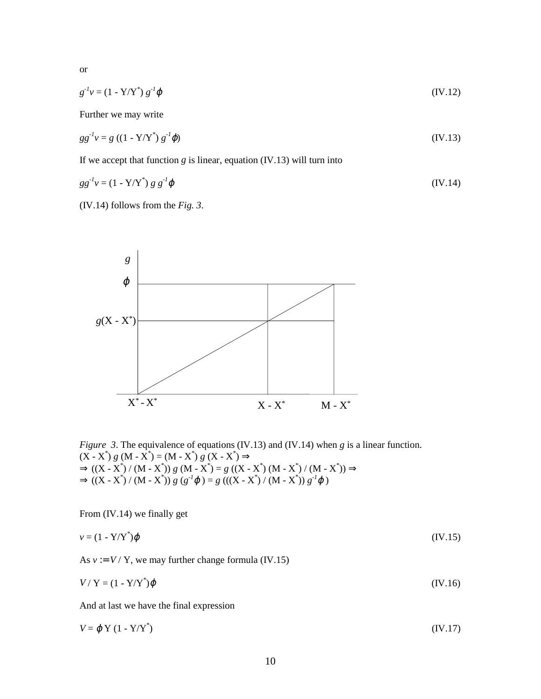or

$$
g^{-1}v = (1 - Y/Y^*) g^{-1} \varphi \tag{IV.12}
$$

Further we may write

$$
gg^{-1}v = g ((1 - Y/Y^*) g^{-1} \varphi)
$$
 (IV.13)

If we accept that function  $g$  is linear, equation  $(IV.13)$  will turn into

$$
gg^{-1}v = (1 - Y/Y^*) g g^{-1} \varphi \tag{IV.14}
$$

(IV.14) follows from the *Fig. 3*.



*Figure 3*. The equivalence of equations (IV.13) and (IV.14) when *g* is a linear function.  $(X - X^*) g (M - X^*) = (M - X^*) g (X - X^*) \Rightarrow$  $\Rightarrow ((X - X^*) / (M - X^*)) g (M - X^*) = g ((X - X^*) (M - X^*) / (M - X^*)) \Rightarrow$  $\Rightarrow ((X - X^*) / (M - X^*)) g (g^{-1} \varphi) = g ((X - X^*) / (M - X^*)) g^{-1} \varphi)$ 

From (IV.14) we finally get

$$
v = (1 - Y/Y^*)\varphi \tag{IV.15}
$$

As  $v := V / Y$ , we may further change formula (IV.15)

$$
V/Y = (1 - Y/Y^*)\varphi
$$
 (IV.16)

And at last we have the final expression

$$
V = \varphi \, \mathrm{Y} \, (1 - \mathrm{Y/Y}^*) \tag{IV.17}
$$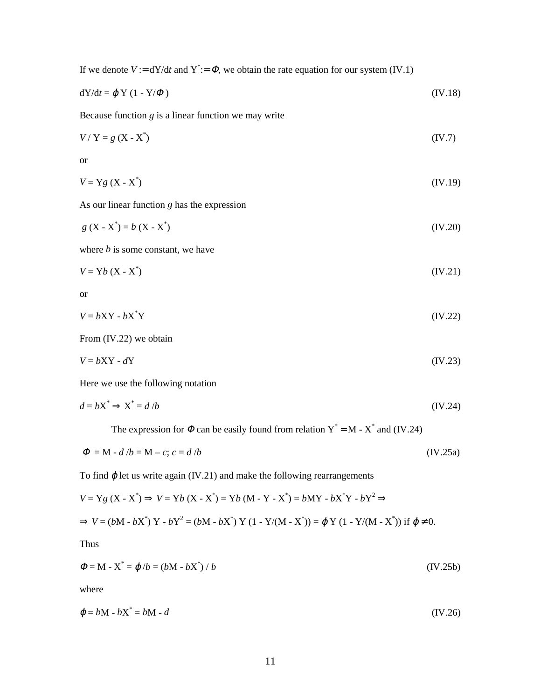If we denote  $V := dY/dt$  and  $Y^* := \Phi$ , we obtain the rate equation for our system (IV.1)

$$
dY/dt = \varphi Y (1 - Y/\varPhi)
$$
 (IV.18)

Because function *g* is a linear function we may write

$$
V/Y = g(X - X^*)
$$
 (IV.7)

or

$$
V = Yg(X - X^*)
$$
 (IV.19)

As our linear function *g* has the expression

$$
g(X - X^*) = b(X - X^*)
$$
 (IV.20)

where *b* is some constant, we have

$$
V = Yb (X - X*)
$$
 (IV.21)

or

$$
V = bXY - bX^*Y \tag{IV.22}
$$

From (IV.22) we obtain

$$
V = bXY - dY \tag{IV.23}
$$

Here we use the following notation

$$
d = bX^* \Rightarrow X^* = d/b \tag{IV.24}
$$

The expression for  $\Phi$  can be easily found from relation  $Y^* = M - X^*$  and (IV.24)

$$
\Phi = M - d/b = M - c; c = d/b \tag{IV.25a}
$$

To find  $\varphi$  let us write again (IV.21) and make the following rearrangements

$$
V = Yg (X - X^*) \Rightarrow V = Yb (X - X^*) = Yb (M - Y - X^*) = bMY - bX^*Y - bY^2 \Rightarrow
$$
  
\n
$$
\Rightarrow V = (bM - bX^*) Y - bY^2 = (bM - bX^*) Y (1 - Y/(M - X^*)) = \varphi Y (1 - Y/(M - X^*)) \text{ if } \varphi \neq 0.
$$

Thus

$$
\Phi = M - X^* = \varphi/b = (bM - bX^*) / b \tag{IV.25b}
$$

where

$$
\varphi = bM - bX^* = bM - d \tag{IV.26}
$$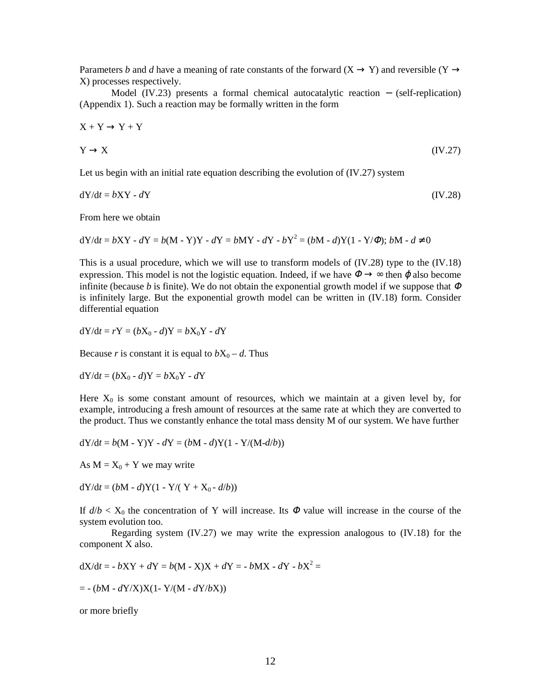Parameters *b* and *d* have a meaning of rate constants of the forward (X  $\rightarrow$  Y) and reversible (Y  $\rightarrow$ X) processes respectively.

Model (IV.23) presents a formal chemical autocatalytic reaction − (self-replication) (Appendix 1). Such a reaction may be formally written in the form

$$
X + Y \to Y + Y
$$
  
 
$$
Y \to X
$$
 (IV.27)

Let us begin with an initial rate equation describing the evolution of (IV.27) system

$$
dY/dt = bXY - dY \tag{IV.28}
$$

From here we obtain

dY/d*t* = *b*XY - *d*Y = *b*(M - Y)Y - *d*Y = *b*MY - *d*Y - *b*Y2 = (*b*M - *d*)Y(1 - Y/Φ); *b*M - *d* ≠ 0

This is a usual procedure, which we will use to transform models of (IV.28) type to the (IV.18) expression. This model is not the logistic equation. Indeed, if we have  $\Phi \rightarrow \infty$  then  $\varphi$  also become infinite (because *b* is finite). We do not obtain the exponential growth model if we suppose that  $\Phi$ is infinitely large. But the exponential growth model can be written in (IV.18) form. Consider differential equation

 $dY/dt = rY = (bX_0 - d)Y = bX_0Y - dY$ 

Because *r* is constant it is equal to  $bX_0 - d$ . Thus

 $dY/dt = (bX_0 - d)Y = bX_0Y - dY$ 

Here  $X_0$  is some constant amount of resources, which we maintain at a given level by, for example, introducing a fresh amount of resources at the same rate at which they are converted to the product. Thus we constantly enhance the total mass density M of our system. We have further

$$
dY/dt = b(M - Y)Y - dY = (bM - d)Y(1 - Y/(M - d/b))
$$

As  $M = X_0 + Y$  we may write

 $dY/dt = (bM - d)Y(1 - Y/(Y + X_0 - d/b))$ 

If  $d/b < X_0$  the concentration of Y will increase. Its  $\Phi$  value will increase in the course of the system evolution too.

Regarding system (IV.27) we may write the expression analogous to (IV.18) for the component X also.

 $dX/dt = -bXY + dY = b(M - X)X + dY = -bMX - dY - bX^{2} =$ 

 $= -(bM - dY/X)X(1 - Y/(M - dY/bX))$ 

or more briefly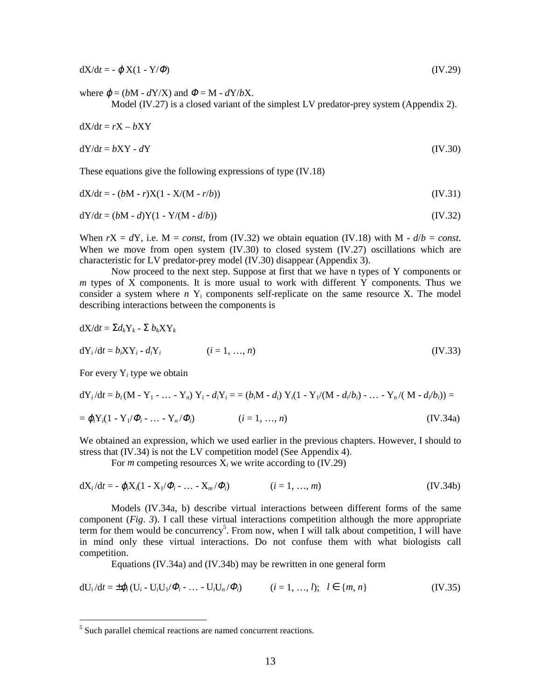$dX/dt = -\varphi X(1 - Y/\varPhi)$  (IV.29)

where  $\varphi = (bM - dY/X)$  and  $\Phi = M - dY/bX$ .

Model (IV.27) is a closed variant of the simplest LV predator-prey system (Appendix 2).

$$
dX/dt = rX - bXY
$$
  
\n
$$
dY/dt = bXY - dY
$$
\n(IV.30)

These equations give the following expressions of type (IV.18)

$$
dX/dt = -(bM - r)X(1 - X/(M - r/b))
$$
 (IV.31)

$$
dY/dt = (bM - d)Y(1 - Y/(M - d/b))
$$
\n(IV.32)

When  $rX = dY$ , i.e.  $M = const$ , from (IV.32) we obtain equation (IV.18) with  $M - d/b = const$ . When we move from open system (IV.30) to closed system (IV.27) oscillations which are characteristic for LV predator-prey model (IV.30) disappear (Appendix 3).

Now proceed to the next step. Suppose at first that we have n types of Y components or *m* types of X components. It is more usual to work with different Y components. Thus we consider a system where *n* Y<sub>i</sub> components self-replicate on the same resource X. The model describing interactions between the components is

$$
dX/dt = \Sigma d_k Y_k - \Sigma b_k XY_k
$$
  
\n
$$
dY_i/dt = b_i XY_i - d_i Y_i
$$
 (*i* = 1, ..., *n*) (IV.33)

For every Y*i* type we obtain

 $\overline{a}$ 

$$
dY_i/dt = b_i (M - Y_1 - ... - Y_n) Y_i - d_i Y_i = = (b_i M - d_i) Y_i (1 - Y_1/(M - d_i/b_i) - ... - Y_n/(M - d_i/b_i)) =
$$

$$
= \varphi_i Y_i (1 - Y_1 / \varPhi_i - \dots - Y_n / \varPhi_i) \qquad (i = 1, \dots, n)
$$
 (IV.34a)

We obtained an expression, which we used earlier in the previous chapters. However, I should to stress that (IV.34) is not the LV competition model (See Appendix 4).

For *m* competing resources  $X_i$  we write according to  $(IV.29)$ 

$$
dX_i/dt = -\varphi_i X_i (1 - X_1/\Phi_i - \dots - X_m/\Phi_i)
$$
 (i = 1, ..., m) (IV.34b)

Models (IV.34a, b) describe virtual interactions between different forms of the same component (*Fig*. *3*). I call these virtual interactions competition although the more appropriate term for them would be concurrency<sup>5</sup>. From now, when I will talk about competition, I will have in mind only these virtual interactions. Do not confuse them with what biologists call competition.

Equations (IV.34a) and (IV.34b) may be rewritten in one general form

$$
dU_i/dt = \pm \varphi_i (U_i - U_i U_1/\varphi_i - \dots - U_i U_n/\varphi_i) \qquad (i = 1, ..., l); \quad l \in \{m, n\}
$$
 (IV.35)

 $<sup>5</sup>$  Such parallel chemical reactions are named concurrent reactions.</sup>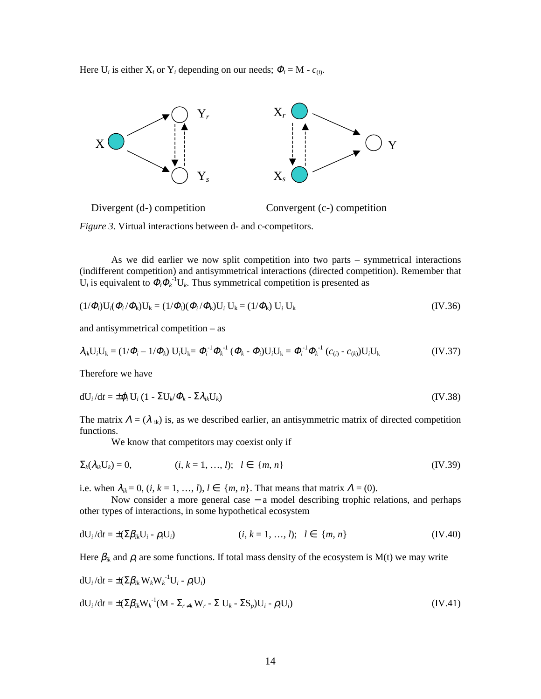Here  $U_i$  is either  $X_i$  or  $Y_i$  depending on our needs;  $\Phi_i = M - c_{(i)}$ .



*Figure 3*. Virtual interactions between d- and c-competitors.

As we did earlier we now split competition into two parts – symmetrical interactions (indifferent competition) and antisymmetrical interactions (directed competition). Remember that  $U_i$  is equivalent to  $\Phi_i \Phi_k^{-1} U_k$ . Thus symmetrical competition is presented as

$$
(1/\Phi_i)U_i(\Phi_i/\Phi_k)U_k = (1/\Phi_i)(\Phi_i/\Phi_k)U_i U_k = (1/\Phi_k) U_i U_k
$$
\n(IV.36)

and antisymmetrical competition – as

$$
\lambda_{ik}U_{i}U_{k} = (1/\Phi_{i} - 1/\Phi_{k}) U_{i}U_{k} = \Phi_{i}^{-1} \Phi_{k}^{-1} (\Phi_{k} - \Phi_{i}) U_{i}U_{k} = \Phi_{i}^{-1} \Phi_{k}^{-1} (c_{(i)} - c_{(k)}) U_{i}U_{k}
$$
(IV.37)

Therefore we have

$$
dU_i/dt = \pm \varphi_i U_i (1 - \Sigma U_k/\varPhi_k - \Sigma \lambda_{ik} U_k)
$$
 (IV.38)

The matrix  $\Lambda = (\lambda_{ik})$  is, as we described earlier, an antisymmetric matrix of directed competition functions.

We know that competitors may coexist only if

$$
\Sigma_k(\lambda_{ik} U_k) = 0, \qquad (i, k = 1, ..., l); \quad l \in \{m, n\}
$$
 (IV.39)

i.e. when  $\lambda_{ik} = 0$ ,  $(i, k = 1, ..., l)$ ,  $l \in \{m, n\}$ . That means that matrix  $\Lambda = (0)$ .

Now consider a more general case − a model describing trophic relations, and perhaps other types of interactions, in some hypothetical ecosystem

$$
dU_i/dt = \pm (\Sigma \beta_{ik} U_i - \rho_i U_i)
$$
 (*i, k = 1, ..., l*); *l \in \{m, n\}* (IV.40)

Here  $\beta_{ik}$  and  $\rho_i$  are some functions. If total mass density of the ecosystem is M(t) we may write

$$
dU_i/dt = \pm (\Sigma \beta_{ik} W_k W_k^{-1} U_i - \rho_i U_i)
$$
  
\n
$$
dU_i/dt = \pm (\Sigma \beta_{ik} W_k^{-1} (M - \Sigma_{r \neq k} W_r - \Sigma U_k - \Sigma S_p) U_i - \rho_i U_i)
$$
\n(IV.41)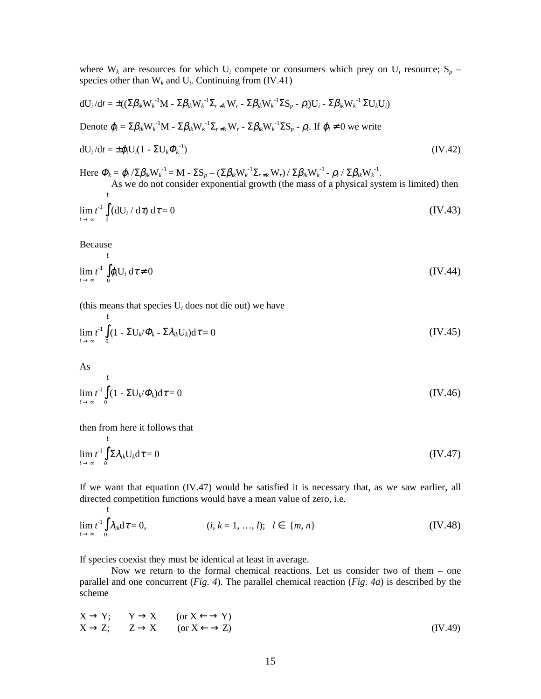where  $W_k$  are resources for which  $U_i$  compete or consumers which prey on  $U_i$  resource;  $S_p$  – species other than  $W_k$  and  $U_i$ . Continuing from (IV.41)

$$
dU_i/dt = \pm ((\Sigma \beta_{ik} W_k^{-1} M - \Sigma \beta_{ik} W_k^{-1} \Sigma_{r \neq k} W_r - \Sigma \beta_{ik} W_k^{-1} \Sigma S_p - \rho_i) U_i - \Sigma \beta_{ik} W_k^{-1} \Sigma U_k U_i)
$$
  
Denote  $\varphi_i = \Sigma \beta_{ik} W_k^{-1} M - \Sigma \beta_{ik} W_k^{-1} \Sigma_{r \neq k} W_r - \Sigma \beta_{ik} W_k^{-1} \Sigma S_p - \rho_i$ . If  $\varphi_i \neq 0$  we write  

$$
dU_i/dt = \pm \varphi_i U_i (1 - \Sigma U_k \Phi_k^{-1})
$$
(IV.42)

Here  $\Phi_k = \phi_i / \Sigma \beta_{ik} W_k^{-1} = M - \Sigma S_p - (\Sigma \beta_{ik} W_k^{-1} \Sigma_{r \neq k} W_r) / \Sigma \beta_{ik} W_k^{-1} - \rho_i / \Sigma \beta_{ik} W_k^{-1}$ . As we do not consider exponential growth (the mass of a physical system is limited) then

$$
\lim_{t \to \infty} t^1 \int_0^t (dU_i / d\tau) d\tau = 0
$$
 (IV.43)

Because

$$
\lim_{t \to \infty} t^{-1} \int_{0}^{t} \varphi_{i} U_{i} d\tau \neq 0
$$
 (IV.44)

(this means that species  $U_i$  does not die out) we have

$$
\lim_{t \to \infty} t^1 \int_0^t (1 - \Sigma U_k / \Phi_k - \Sigma \lambda_{ik} U_k) d\tau = 0
$$
 (IV.45)

As  

$$
\lim_{t \to \infty} t^1 \int_{0}^{t} (1 - \Sigma U_k / \Phi_k) d\tau = 0
$$
 (IV.46)

then from here it follows that

$$
\lim_{t \to \infty} t^{-1} \int_{0}^{t} \Sigma \lambda_{ik} U_{k} d\tau = 0
$$
 (IV.47)

If we want that equation (IV.47) would be satisfied it is necessary that, as we saw earlier, all directed competition functions would have a mean value of zero, i.e.

$$
\lim_{t \to \infty} t^1 \int_0^t \lambda_{ik} d\tau = 0, \qquad (i, k = 1, ..., l); \quad l \in \{m, n\}
$$
 (IV.48)

If species coexist they must be identical at least in average.

Now we return to the formal chemical reactions. Let us consider two of them – one parallel and one concurrent (*Fig*. *4*). The parallel chemical reaction (*Fig*. *4a*) is described by the scheme

$$
X \to Y; \t Y \to X \t (or X \leftarrow Y) X \to Z; \t Z \to X \t (or X \leftarrow Y) \t (IV.49)
$$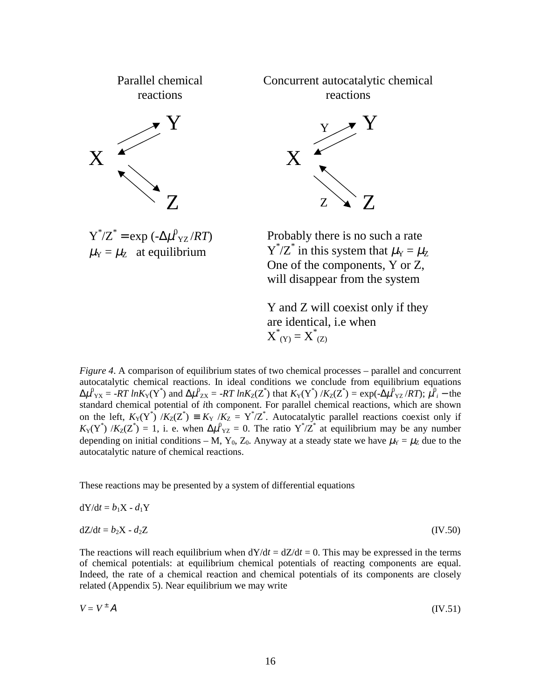

 $\mu_{\rm Y} = \mu_{\rm Z}$  at equilibrium

 $Y^*/Z^*$  in this system that  $\mu_Y = \mu_Z$ One of the components, Y or Z, will disappear from the system

Y and Z will coexist only if they are identical, i.e when  $X^*_{(Y)} = X^*_{(Z)}$ 

*Figure 4*. A comparison of equilibrium states of two chemical processes – parallel and concurrent autocatalytic chemical reactions. In ideal conditions we conclude from equilibrium equations  $\Delta \mu^0{}_Y_X = -RT \ln K_Y(Y^*)$  and  $\Delta \mu^0{}_{ZX} = -RT \ln K_Z(Z^*)$  that  $K_Y(Y^*) / K_Z(Z^*) = \exp(-\Delta \mu^0{}_{YZ} / RT);$   $\mu^0{}_i$  – the standard chemical potential of *i*th component. For parallel chemical reactions, which are shown on the left,  $K_Y(Y^*) / K_Z(Z^*) \equiv K_Y / K_Z = Y^*/Z^*$ . Autocatalytic parallel reactions coexist only if  $K_Y(Y^*)$  / $K_Z(Z^*) = 1$ , i. e. when  $\Delta \mu^0_{YZ} = 0$ . The ratio  $Y^*/Z^*$  at equilibrium may be any number depending on initial conditions – M, Y<sub>0</sub>, Z<sub>0</sub>. Anyway at a steady state we have  $\mu_Y = \mu_Z$  due to the autocatalytic nature of chemical reactions.

These reactions may be presented by a system of differential equations

$$
dY/dt = b_1 X - d_1 Y
$$
  
\n
$$
dZ/dt = b_2 X - d_2 Z
$$
 (IV.50)

The reactions will reach equilibrium when  $dY/dt = dZ/dt = 0$ . This may be expressed in the terms of chemical potentials: at equilibrium chemical potentials of reacting components are equal. Indeed, the rate of a chemical reaction and chemical potentials of its components are closely related (Appendix 5). Near equilibrium we may write

$$
V = V^{\pm} A \tag{IV.51}
$$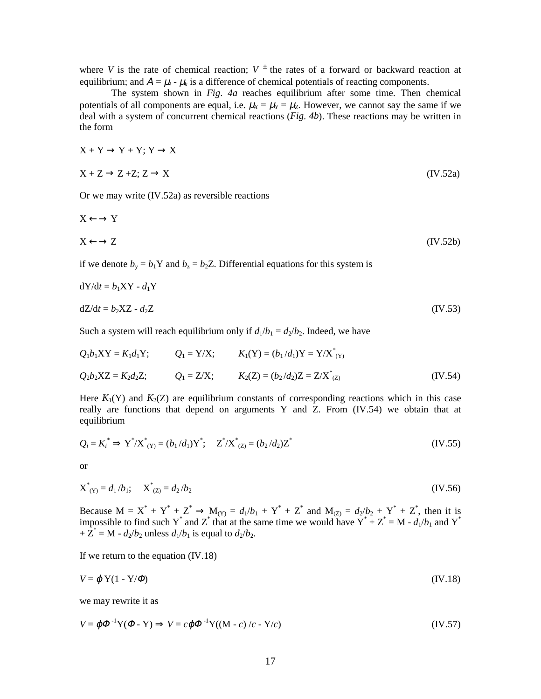where *V* is the rate of chemical reaction;  $V^{\pm}$  the rates of a forward or backward reaction at equilibrium; and  $A = \mu_i - \mu_k$  is a difference of chemical potentials of reacting components.

The system shown in *Fig*. *4a* reaches equilibrium after some time. Then chemical potentials of all components are equal, i.e.  $\mu_X = \mu_Y = \mu_Z$ . However, we cannot say the same if we deal with a system of concurrent chemical reactions (*Fig*. *4b*). These reactions may be written in the form

$$
X + Y \to Y + Y; Y \to X
$$
  

$$
X + Z \to Z + Z; Z \to X
$$
 (IV.52a)

Or we may write (IV.52a) as reversible reactions

$$
X \leftarrow \rightarrow Y
$$
  

$$
X \leftarrow \rightarrow Z
$$
 (IV.52b)

if we denote  $b_y = b_1 Y$  and  $b_z = b_2 Z$ . Differential equations for this system is

$$
dY/dt = b_1XY - d_1Y
$$
  
\n
$$
dZ/dt = b_2XZ - d_2Z
$$
 (IV.53)

Such a system will reach equilibrium only if  $d_1/b_1 = d_2/b_2$ . Indeed, we have

$$
Q_1b_1XY = K_1d_1Y;
$$
  $Q_1 = Y/X;$   $K_1(Y) = (b_1/d_1)Y = Y/X^*_{(Y)}$   
\n $Q_2b_2XZ = K_2d_2Z;$   $Q_1 = Z/X;$   $K_2(Z) = (b_2/d_2)Z = Z/X^*_{(Z)}$  (IV.54)

Here  $K_1(Y)$  and  $K_2(Z)$  are equilibrium constants of corresponding reactions which in this case really are functions that depend on arguments Y and Z. From  $(IV.54)$  we obtain that at equilibrium

$$
Q_i = K_i^* \Rightarrow Y^* / X^*_{(Y)} = (b_1 / d_1) Y^*; \quad Z^* / X^*_{(Z)} = (b_2 / d_2) Z^* \tag{IV.55}
$$

or

$$
X^*_{(Y)} = d_1/b_1; \quad X^*_{(Z)} = d_2/b_2 \tag{IV.56}
$$

Because  $M = X^* + Y^* + Z^* \Rightarrow M_{(Y)} = d_1/b_1 + Y^* + Z^*$  and  $M_{(Z)} = d_2/b_2 + Y^* + Z^*$ , then it is impossible to find such Y<sup>\*</sup> and Z<sup>\*</sup> that at the same time we would have  $Y^* + Z^* = M - d_1/b_1$  and Y<sup>\*</sup>  $+ \tilde{Z}^* = M - d_2/b_2$  unless  $d_1/b_1$  is equal to  $d_2/b_2$ .

If we return to the equation (IV.18)

$$
V = \varphi \, Y(1 - Y/\varPhi) \tag{IV.18}
$$

we may rewrite it as

$$
V = \varphi \Phi^{-1} Y (\Phi - Y) \Rightarrow V = c \varphi \Phi^{-1} Y ((M - c) / c - Y / c)
$$
 (IV.57)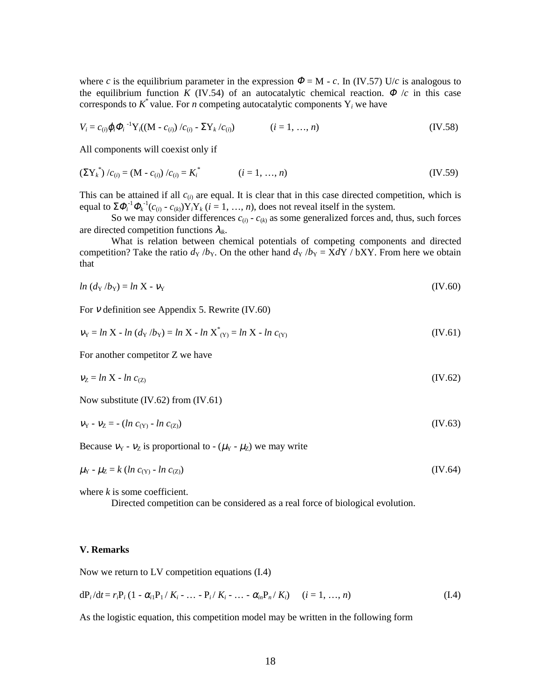where *c* is the equilibrium parameter in the expression  $\Phi = M - c$ . In (IV.57) U/*c* is analogous to the equilibrium function *K* (IV.54) of an autocatalytic chemical reaction.  $\Phi/c$  in this case corresponds to  $K^*$  value. For *n* competing autocatalytic components  $Y_i$  we have

$$
V_i = c_{(i)} \varphi_i \Phi_i^{-1} Y_i ((M - c_{(i)}) / c_{(i)} - \Sigma Y_k / c_{(i)}) \qquad (i = 1, ..., n)
$$
 (IV.58)

All components will coexist only if

$$
\left(\Sigma Y_k^*\right)/c_{(i)} = (M - c_{(i)})/c_{(i)} = K_i^* \qquad (i = 1, ..., n)
$$
\n(IV.59)

This can be attained if all  $c_{(i)}$  are equal. It is clear that in this case directed competition, which is equal to  $\Sigma \Phi_i^{-1} \Phi_k^{-1} (c_{(i)} - c_{(k)}) Y_i Y_k$  (*i* = 1, …, *n*), does not reveal itself in the system.

So we may consider differences  $c_{(i)}$  -  $c_{(k)}$  as some generalized forces and, thus, such forces are directed competition functions λ*ik*.

What is relation between chemical potentials of competing components and directed competition? Take the ratio  $d_Y/b_Y$ . On the other hand  $d_Y/b_Y = X dY / bXY$ . From here we obtain that

$$
ln (d_Y/b_Y) = ln X - v_Y
$$
 (IV.60)

For ν definition see Appendix 5. Rewrite (IV.60)

$$
v_Y = \ln X - \ln (d_Y / b_Y) = \ln X - \ln X^* (Y) = \ln X - \ln c_{(Y)}
$$
 (IV.61)

For another competitor Z we have

$$
v_Z = \ln X - \ln c_{(Z)} \tag{IV.62}
$$

Now substitute (IV.62) from (IV.61)

$$
v_{Y} - v_{Z} = -(\ln c_{(Y)} - \ln c_{(Z)})
$$
 (IV.63)

Because  $v_Y$  -  $v_Z$  is proportional to - ( $\mu_Y$  -  $\mu_Z$ ) we may write

$$
\mu_{\rm Y} - \mu_{\rm Z} = k \left( \ln c_{\rm (Y)} - \ln c_{\rm (Z)} \right) \tag{IV.64}
$$

where *k* is some coefficient.

Directed competition can be considered as a real force of biological evolution.

#### **V. Remarks**

Now we return to LV competition equations (I.4)

$$
dP_i/dt = r_i P_i (1 - \alpha_{i1} P_1 / K_i - \dots - P_i / K_i - \dots - \alpha_{in} P_n / K_i) \qquad (i = 1, ..., n)
$$
 (I.4)

As the logistic equation, this competition model may be written in the following form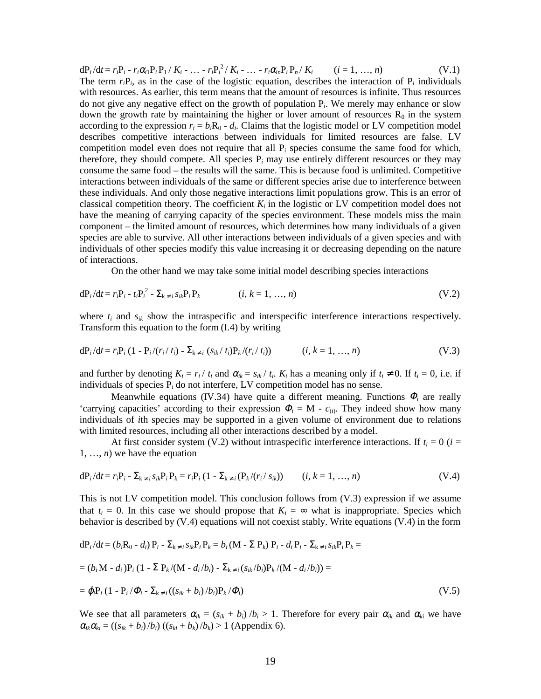$dP_i/dt = r_iP_i - r_i\alpha_iP_iP_1 / K_i - ... - r_iP_i^2 / K_i - ... - r_i\alpha_iP_iP_n / K_i$  (*i* = 1, …, *n*) (V.1) The term  $r_iP_i$ , as in the case of the logistic equation, describes the interaction of  $P_i$  individuals with resources. As earlier, this term means that the amount of resources is infinite. Thus resources do not give any negative effect on the growth of population P*i*. We merely may enhance or slow down the growth rate by maintaining the higher or lover amount of resources  $R_0$  in the system according to the expression  $r_i = b_i R_0 - d_i$ . Claims that the logistic model or LV competition model describes competitive interactions between individuals for limited resources are false. LV competition model even does not require that all P*i* species consume the same food for which, therefore, they should compete. All species  $P_i$  may use entirely different resources or they may consume the same food – the results will the same. This is because food is unlimited. Competitive interactions between individuals of the same or different species arise due to interference between these individuals. And only those negative interactions limit populations grow. This is an error of classical competition theory. The coefficient  $K_i$  in the logistic or LV competition model does not have the meaning of carrying capacity of the species environment. These models miss the main component – the limited amount of resources, which determines how many individuals of a given species are able to survive. All other interactions between individuals of a given species and with individuals of other species modify this value increasing it or decreasing depending on the nature of interactions.

On the other hand we may take some initial model describing species interactions

$$
dP_i/dt = r_i P_i - t_i P_i^2 - \sum_{k \neq i} s_{ik} P_i P_k \qquad (i, k = 1, ..., n)
$$
 (V.2)

where  $t_i$  and  $s_{ik}$  show the intraspecific and interspecific interference interactions respectively. Transform this equation to the form (I.4) by writing

$$
dP_i/dt = r_i P_i (1 - P_i/(r_i / t_i) - \Sigma_{k \neq i} (s_{ik} / t_i) P_k/(r_i / t_i)) \qquad (i, k = 1, ..., n)
$$
 (V.3)

and further by denoting  $K_i = r_i / t_i$  and  $\alpha_{ik} = s_{ik} / t_i$ .  $K_i$  has a meaning only if  $t_i \neq 0$ . If  $t_i = 0$ , i.e. if individuals of species P*i* do not interfere, LV competition model has no sense.

Meanwhile equations (IV.34) have quite a different meaning. Functions  $\Phi_i$  are really 'carrying capacities' according to their expression  $\Phi_i = M - c_{(i)}$ . They indeed show how many individuals of *i*th species may be supported in a given volume of environment due to relations with limited resources, including all other interactions described by a model.

At first consider system (V.2) without intraspecific interference interactions. If  $t_i = 0$  ( $i =$ 1, …, *n*) we have the equation

$$
dP_i/dt = r_i P_i - \sum_{k \neq i} s_{ik} P_i P_k = r_i P_i (1 - \sum_{k \neq i} (P_k/(r_i / s_{ik})) \qquad (i, k = 1, ..., n)
$$
 (V.4)

This is not LV competition model. This conclusion follows from (V.3) expression if we assume that  $t_i = 0$ . In this case we should propose that  $K_i = \infty$  what is inappropriate. Species which behavior is described by (V.4) equations will not coexist stably. Write equations (V.4) in the form

$$
dP_i/dt = (b_iR_0 - d_i) P_i - \sum_{k \neq i} s_{ik} P_i P_k = b_i (M - \sum P_k) P_i - d_i P_i - \sum_{k \neq i} s_{ik} P_i P_k =
$$
  
= 
$$
(b_iM - d_i) P_i (1 - \sum P_k/(M - d_i/b_i) - \sum_{k \neq i} (s_{ik}/b_i) P_k/(M - d_i/b_i)) =
$$
  
= 
$$
\varphi_i P_i (1 - P_i / \varPhi_i - \sum_{k \neq i} ((s_{ik} + b_i) / b_i) P_k / \varPhi_i)
$$
 (V.5)

We see that all parameters  $\alpha_{ik} = (s_{ik} + b_i)/b_i > 1$ . Therefore for every pair  $\alpha_{ik}$  and  $\alpha_{ki}$  we have  $\alpha_{ik}\alpha_{ki} = ((s_{ik} + b_i)/b_i)((s_{ki} + b_k)/b_k) > 1$  (Appendix 6).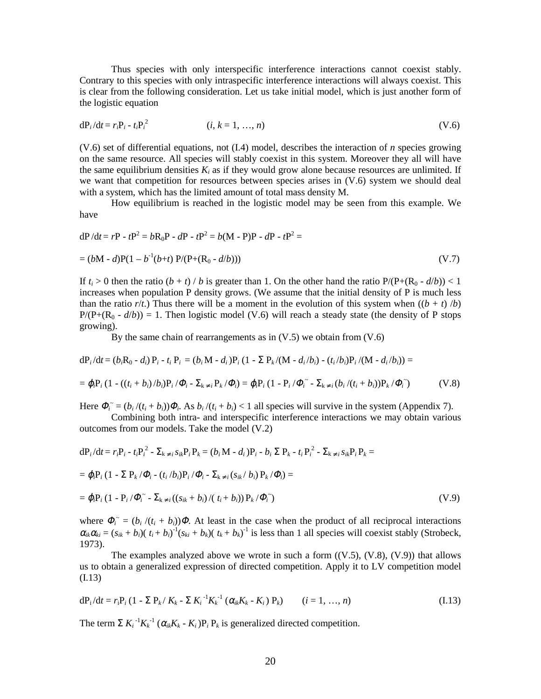Thus species with only interspecific interference interactions cannot coexist stably. Contrary to this species with only intraspecific interference interactions will always coexist. This is clear from the following consideration. Let us take initial model, which is just another form of the logistic equation

$$
dP_i/dt = r_i P_i - t_i P_i^2
$$
 (*i, k = 1, ..., n*) (V.6)

(V.6) set of differential equations, not (I.4) model, describes the interaction of *n* species growing on the same resource. All species will stably coexist in this system. Moreover they all will have the same equilibrium densities  $K_i$  as if they would grow alone because resources are unlimited. If we want that competition for resources between species arises in (V.6) system we should deal with a system, which has the limited amount of total mass density M.

How equilibrium is reached in the logistic model may be seen from this example. We have

$$
dP/dt = rP - tP2 = bR0P - dP - tP2 = b(M - P)P - dP - tP2 =
$$
  
= (bM - d)P(1 - b<sup>-1</sup>(b+t) P/(P+(R<sub>0</sub> - d/b))) (V.7)

If  $t_i > 0$  then the ratio  $(b + t) / b$  is greater than 1. On the other hand the ratio  $P/(P+(R_0 - d/b)) < 1$ increases when population P density grows. (We assume that the initial density of P is much less than the ratio  $r/t$ .) Thus there will be a moment in the evolution of this system when  $((b + t)/b)$  $P/(P+(R_0 - d/b)) = 1$ . Then logistic model (V.6) will reach a steady state (the density of P stops growing).

By the same chain of rearrangements as in  $(V.5)$  we obtain from  $(V.6)$ 

$$
dP_i/dt = (b_i R_0 - d_i) P_i - t_i P_i = (b_i M - d_i) P_i (1 - \Sigma P_k/(M - d_i/b_i) - (t_i/b_i) P_i/(M - d_i/b_i)) =
$$
  
=  $\varphi_i P_i (1 - ((t_i + b_i)/b_i) P_i/\varPhi_i - \Sigma_{k \neq i} P_k/\varPhi_i) = \varphi_i P_i (1 - P_i/\varPhi_i - \Sigma_{k \neq i} (b_i/(t_i + b_i)) P_k/\varPhi_i)$  (V.8)

Here  $\Phi_i^{\sim} = (b_i/(t_i + b_i))\Phi_i$ . As  $b_i/(t_i + b_i) < 1$  all species will survive in the system (Appendix 7).

Combining both intra- and interspecific interference interactions we may obtain various outcomes from our models. Take the model (V.2)

$$
dP_i/dt = r_iP_i - t_iP_i^2 - \sum_{k \neq i} s_{ik}P_iP_k = (b_i M - d_i)P_i - b_i \sum P_k - t_iP_i^2 - \sum_{k \neq i} s_{ik}P_iP_k =
$$
  
=  $\varphi_i P_i (1 - \sum P_k / \varPhi_i - (t_i / b_i)P_i / \varPhi_i - \sum_{k \neq i} (s_{ik} / b_i) P_k / \varPhi_i) =$   
=  $\varphi_i P_i (1 - P_i / \varPhi_i^* - \sum_{k \neq i} ((s_{ik} + b_i) / (t_i + b_i)) P_k / \varPhi_i^*)$  (V.9)

where  $\Phi_i^{\sim} = (b_i / (t_i + b_i))\Phi$ . At least in the case when the product of all reciprocal interactions  $\alpha_{ik}\alpha_{ki} = (s_{ik} + b_i)(t_i + b_i)^{-1}(s_{ki} + b_k)(t_k + b_k)^{-1}$  is less than 1 all species will coexist stably (Strobeck, 1973).

The examples analyzed above we wrote in such a form  $((V.5), (V.8), (V.9))$  that allows us to obtain a generalized expression of directed competition. Apply it to LV competition model (I.13)

$$
dP_i/dt = r_i P_i (1 - \Sigma P_k / K_k - \Sigma K_i^{-1} K_k^{-1} (\alpha_{ik} K_k - K_i) P_k) \qquad (i = 1, ..., n)
$$
 (I.13)

The term  $\sum K_i^{-1} K_k^{-1} (\alpha_{ik} K_k - K_i) P_i P_k$  is generalized directed competition.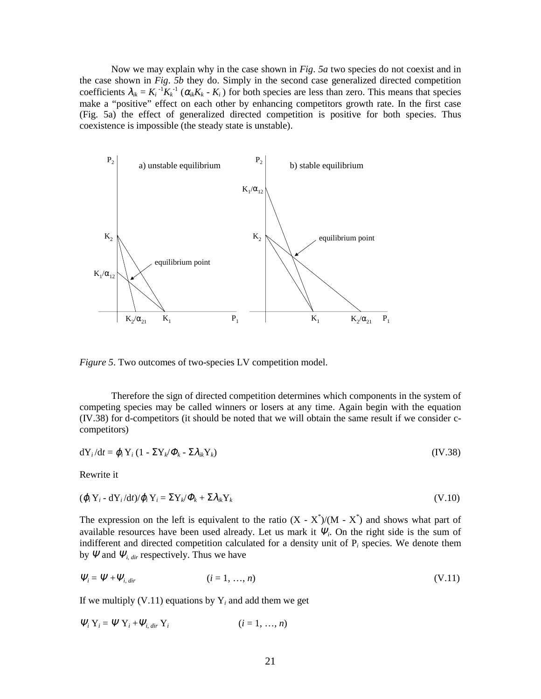Now we may explain why in the case shown in *Fig*. *5a* two species do not coexist and in the case shown in *Fig*. *5b* they do. Simply in the second case generalized directed competition coefficients  $\lambda_{ik} = K_i^{-1} K_k^{-1} (\alpha_{ik} K_k - K_i)$  for both species are less than zero. This means that species make a "positive" effect on each other by enhancing competitors growth rate. In the first case (Fig. 5a) the effect of generalized directed competition is positive for both species. Thus coexistence is impossible (the steady state is unstable).



*Figure 5*. Two outcomes of two-species LV competition model.

Therefore the sign of directed competition determines which components in the system of competing species may be called winners or losers at any time. Again begin with the equation (IV.38) for d-competitors (it should be noted that we will obtain the same result if we consider ccompetitors)

$$
dY_i/dt = \varphi_i Y_i (1 - \Sigma Y_k/\varPhi_k - \Sigma \lambda_{ik} Y_k)
$$
 (IV.38)

Rewrite it

$$
(\boldsymbol{\varphi}_i \mathbf{Y}_i - \mathbf{d} \mathbf{Y}_i / \mathbf{d} t) / \boldsymbol{\varphi}_i \mathbf{Y}_i = \Sigma \mathbf{Y}_k / \boldsymbol{\varPhi}_k + \Sigma \lambda_{ik} \mathbf{Y}_k
$$
\n
$$
(V.10)
$$

The expression on the left is equivalent to the ratio  $(X - X^*)/(M - X^*)$  and shows what part of available resources have been used already. Let us mark it  $\Psi_i$ . On the right side is the sum of indifferent and directed competition calculated for a density unit of P*i* species. We denote them by  $\Psi$  and  $\Psi$ <sub>*i, dir* respectively. Thus we have</sub>

$$
\Psi_i = \Psi + \Psi_{i, \text{dir}} \tag{V.11}
$$

If we multiply  $(V.11)$  equations by  $Y_i$  and add them we get

$$
\Psi_i Y_i = \Psi Y_i + \Psi_{i, dir} Y_i \qquad (i = 1, ..., n)
$$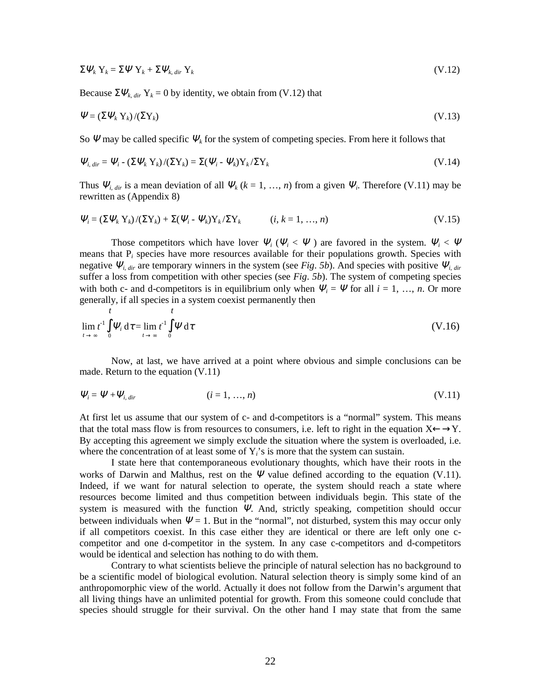$$
\Sigma \mathbf{\Psi}_k \mathbf{Y}_k = \Sigma \mathbf{\Psi} \mathbf{Y}_k + \Sigma \mathbf{\Psi}_{k, dir} \mathbf{Y}_k
$$
\n(V.12)

Because  $\Sigma \Psi_k$ , *dir*  $Y_k = 0$  by identity, we obtain from (V.12) that

$$
\Psi = (\Sigma \Psi_k Y_k) / (\Sigma Y_k) \tag{V.13}
$$

So  $\Psi$  may be called specific  $\Psi_k$  for the system of competing species. From here it follows that

$$
\Psi_{i, \text{dir}} = \Psi_i - \left(\Sigma \Psi_k Y_k\right) / \left(\Sigma Y_k\right) = \Sigma (\Psi_i - \Psi_k) Y_k / \Sigma Y_k \tag{V.14}
$$

Thus  $\Psi_{i, dir}$  is a mean deviation of all  $\Psi_k$  ( $k = 1, ..., n$ ) from a given  $\Psi_i$ . Therefore (V.11) may be rewritten as (Appendix 8)

$$
\Psi_i = \left(\sum \Psi_k Y_k\right) / \left(\sum Y_k\right) + \sum (\Psi_i - \Psi_k) Y_k / \sum Y_k \qquad (i, k = 1, ..., n)
$$
\n(V.15)

Those competitors which have lover  $\Psi_i$  ( $\Psi_i$  <  $\Psi$ ) are favored in the system.  $\Psi_i$  <  $\Psi$ means that P*i* species have more resources available for their populations growth. Species with negative  $\Psi_{i, dir}$  are temporary winners in the system (see *Fig. 5b*). And species with positive  $\Psi_{i, dir}$ suffer a loss from competition with other species (see *Fig*. *5b*). The system of competing species with both c- and d-competitors is in equilibrium only when  $\Psi_i = \Psi$  for all  $i = 1, ..., n$ . Or more generally, if all species in a system coexist permanently then

$$
\lim_{t \to \infty} t^1 \int_0^t \Psi_i \, d\tau = \lim_{t \to \infty} t^1 \int_0^t \Psi \, d\tau
$$
\n(V.16)

Now, at last, we have arrived at a point where obvious and simple conclusions can be made. Return to the equation (V.11)

$$
\Psi_i = \Psi + \Psi_{i, \text{dir}} \tag{V.11}
$$

At first let us assume that our system of c- and d-competitors is a "normal" system. This means that the total mass flow is from resources to consumers, i.e. left to right in the equation  $X \leftarrow Y$ . By accepting this agreement we simply exclude the situation where the system is overloaded, i.e. where the concentration of at least some of Y<sub>i</sub>'s is more that the system can sustain.

I state here that contemporaneous evolutionary thoughts, which have their roots in the works of Darwin and Malthus, rest on the  $\Psi$  value defined according to the equation (V.11). Indeed, if we want for natural selection to operate, the system should reach a state where resources become limited and thus competition between individuals begin. This state of the system is measured with the function  $\Psi$ . And, strictly speaking, competition should occur between individuals when  $\Psi = 1$ . But in the "normal", not disturbed, system this may occur only if all competitors coexist. In this case either they are identical or there are left only one ccompetitor and one d-competitor in the system. In any case c-competitors and d-competitors would be identical and selection has nothing to do with them.

Contrary to what scientists believe the principle of natural selection has no background to be a scientific model of biological evolution. Natural selection theory is simply some kind of an anthropomorphic view of the world. Actually it does not follow from the Darwin's argument that all living things have an unlimited potential for growth. From this someone could conclude that species should struggle for their survival. On the other hand I may state that from the same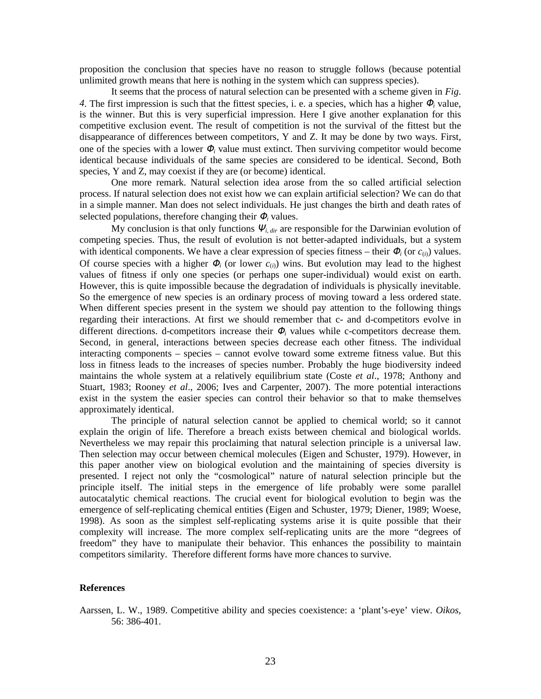proposition the conclusion that species have no reason to struggle follows (because potential unlimited growth means that here is nothing in the system which can suppress species).

It seems that the process of natural selection can be presented with a scheme given in *Fig*. *4*. The first impression is such that the fittest species, i. e. a species, which has a higher <sup>Φ</sup>*i* value, is the winner. But this is very superficial impression. Here I give another explanation for this competitive exclusion event. The result of competition is not the survival of the fittest but the disappearance of differences between competitors, Y and Z. It may be done by two ways. First, one of the species with a lower  $\Phi_i$  value must extinct. Then surviving competitor would become identical because individuals of the same species are considered to be identical. Second, Both species, Y and Z, may coexist if they are (or become) identical.

One more remark. Natural selection idea arose from the so called artificial selection process. If natural selection does not exist how we can explain artificial selection? We can do that in a simple manner. Man does not select individuals. He just changes the birth and death rates of selected populations, therefore changing their  $\Phi_i$  values.

My conclusion is that only functions  $\Psi$ <sub>*i, dir*</sub> are responsible for the Darwinian evolution of competing species. Thus, the result of evolution is not better-adapted individuals, but a system with identical components. We have a clear expression of species fitness – their  $\Phi_i$  (or  $c_{(i)}$ ) values. Of course species with a higher  $\Phi_i$  (or lower  $c_{(i)}$ ) wins. But evolution may lead to the highest values of fitness if only one species (or perhaps one super-individual) would exist on earth. However, this is quite impossible because the degradation of individuals is physically inevitable. So the emergence of new species is an ordinary process of moving toward a less ordered state. When different species present in the system we should pay attention to the following things regarding their interactions. At first we should remember that c- and d-competitors evolve in different directions. d-competitors increase their <sup>Φ</sup>*i* values while c-competitors decrease them. Second, in general, interactions between species decrease each other fitness. The individual interacting components – species – cannot evolve toward some extreme fitness value. But this loss in fitness leads to the increases of species number. Probably the huge biodiversity indeed maintains the whole system at a relatively equilibrium state (Coste *et al*., 1978; Anthony and Stuart, 1983; Rooney *et al*., 2006; Ives and Carpenter, 2007). The more potential interactions exist in the system the easier species can control their behavior so that to make themselves approximately identical.

The principle of natural selection cannot be applied to chemical world; so it cannot explain the origin of life. Therefore a breach exists between chemical and biological worlds. Nevertheless we may repair this proclaiming that natural selection principle is a universal law. Then selection may occur between chemical molecules (Eigen and Schuster, 1979). However, in this paper another view on biological evolution and the maintaining of species diversity is presented. I reject not only the "cosmological" nature of natural selection principle but the principle itself. The initial steps in the emergence of life probably were some parallel autocatalytic chemical reactions. The crucial event for biological evolution to begin was the emergence of self-replicating chemical entities (Eigen and Schuster, 1979; Diener, 1989; Woese, 1998). As soon as the simplest self-replicating systems arise it is quite possible that their complexity will increase. The more complex self-replicating units are the more "degrees of freedom" they have to manipulate their behavior. This enhances the possibility to maintain competitors similarity. Therefore different forms have more chances to survive.

# **References**

Aarssen, L. W., 1989. Competitive ability and species coexistence: a 'plant's-eye' view. *Oikos*, 56: 386-401.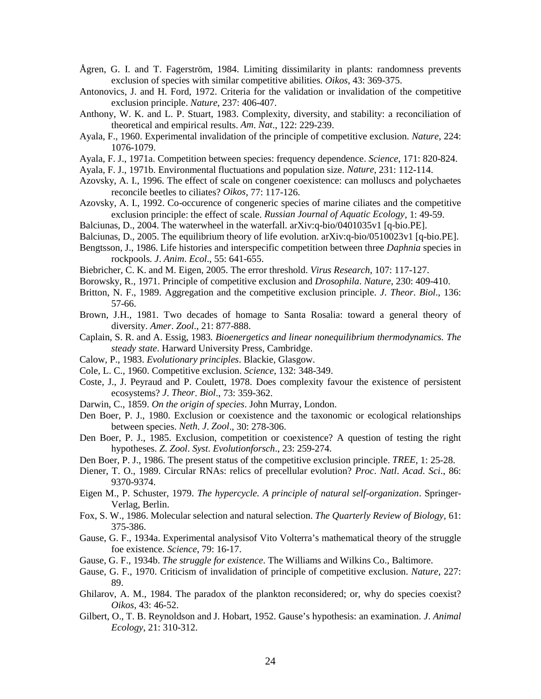- Ågren, G. I. and T. Fagerström, 1984. Limiting dissimilarity in plants: randomness prevents exclusion of species with similar competitive abilities. *Oikos*, 43: 369-375.
- Antonovics, J. and H. Ford, 1972. Criteria for the validation or invalidation of the competitive exclusion principle. *Nature*, 237: 406-407.
- Anthony, W. K. and L. P. Stuart, 1983. Complexity, diversity, and stability: a reconciliation of theoretical and empirical results. *Am*. *Nat*., 122: 229-239.
- Ayala, F., 1960. Experimental invalidation of the principle of competitive exclusion. *Nature*, 224: 1076-1079.
- Ayala, F. J., 1971a. Competition between species: frequency dependence. *Science*, 171: 820-824.
- Ayala, F. J., 1971b. Environmental fluctuations and population size. *Nature*, 231: 112-114.
- Azovsky, A. I., 1996. The effect of scale on congener coexistence: can molluscs and polychaetes reconcile beetles to ciliates? *Oikos*, 77: 117-126.
- Azovsky, A. I., 1992. Co-occurence of congeneric species of marine ciliates and the competitive exclusion principle: the effect of scale. *Russian Journal of Aquatic Ecology*, 1: 49-59.
- Balciunas, D., 2004. The waterwheel in the waterfall. arXiv:q-bio/0401035v1 [q-bio.PE].
- Balciunas, D., 2005. The equilibrium theory of life evolution. arXiv:q-bio/0510023v1 [q-bio.PE].
- Bengtsson, J., 1986. Life histories and interspecific competition between three *Daphnia* species in rockpools. *J*. *Anim*. *Ecol*., 55: 641-655.
- Biebricher, C. K. and M. Eigen, 2005. The error threshold. *Virus Research*, 107: 117-127.
- Borowsky, R., 1971. Principle of competitive exclusion and *Drosophila*. *Nature*, 230: 409-410.
- Britton, N. F., 1989. Aggregation and the competitive exclusion principle. *J*. *Theor*. *Biol*., 136: 57-66.
- Brown, J.H., 1981. Two decades of homage to Santa Rosalia: toward a general theory of diversity. *Amer*. *Zool*., 21: 877-888.
- Caplain, S. R. and A. Essig, 1983*. Bioenergetics and linear nonequilibrium thermodynamics. The steady state*. Harward University Press, Cambridge.
- Calow, P., 1983. *Evolutionary principles*. Blackie, Glasgow.
- Cole, L. C., 1960. Competitive exclusion. *Science*, 132: 348-349.
- Coste, J., J. Peyraud and P. Coulett, 1978. Does complexity favour the existence of persistent ecosystems? *J*. *Theor*. *Biol*., 73: 359-362.
- Darwin, C., 1859. *On the origin of species*. John Murray, London.
- Den Boer, P. J., 1980. Exclusion or coexistence and the taxonomic or ecological relationships between species. *Neth*. *J*. *Zool*., 30: 278-306.
- Den Boer, P. J., 1985. Exclusion, competition or coexistence? A question of testing the right hypotheses. *Z*. *Zool*. *Syst*. *Evolutionforsch*., 23: 259-274.
- Den Boer, P. J., 1986. The present status of the competitive exclusion principle. *TREE*, 1: 25-28.
- Diener, T. O., 1989. Circular RNAs: relics of precellular evolution? *Proc*. *Natl*. *Acad*. *Sci*., 86: 9370-9374.
- Eigen M., P. Schuster, 1979. *The hypercycle. A principle of natural self-organization*. Springer-Verlag, Berlin.
- Fox, S. W., 1986. Molecular selection and natural selection. *The Quarterly Review of Biology*, 61: 375-386.
- Gause, G. F., 1934a. Experimental analysisof Vito Volterra's mathematical theory of the struggle foe existence. *Science*, 79: 16-17.
- Gause, G. F., 1934b. *The struggle for existence*. The Williams and Wilkins Co., Baltimore.
- Gause, G. F., 1970. Criticism of invalidation of principle of competitive exclusion. *Nature*, 227: 89.
- Ghilarov, A. M., 1984. The paradox of the plankton reconsidered; or, why do species coexist? *Oikos*, 43: 46-52.
- Gilbert, O., T. B. Reynoldson and J. Hobart, 1952. Gause's hypothesis: an examination. *J*. *Animal Ecology*, 21: 310-312.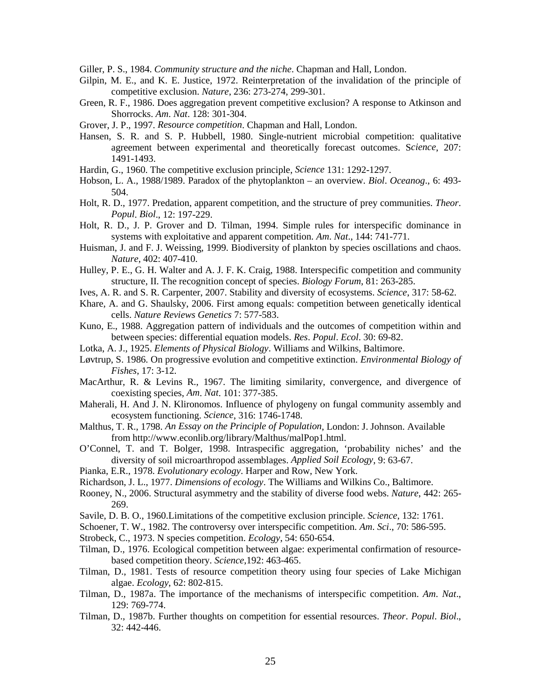Giller, P. S., 1984. *Community structure and the niche*. Chapman and Hall, London.

- Gilpin, M. E., and K. E. Justice, 1972. Reinterpretation of the invalidation of the principle of competitive exclusion. *Nature*, 236: 273-274, 299-301.
- Green, R. F., 1986. Does aggregation prevent competitive exclusion? A response to Atkinson and Shorrocks. *Am*. *Nat*. 128: 301-304.
- Grover, J. P., 1997. *Resource competition*. Chapman and Hall, London.
- Hansen, S. R. and S. P. Hubbell, 1980. Single-nutrient microbial competition: qualitative agreement between experimental and theoretically forecast outcomes. S*cience*, 207: 1491-1493.
- Hardin, G., 1960. The competitive exclusion principle, *Science* 131: 1292-1297.
- Hobson, L. A., 1988/1989. Paradox of the phytoplankton an overview. *Biol*. *Oceanog*., 6: 493- 504.
- Holt, R. D., 1977. Predation, apparent competition, and the structure of prey communities. *Theor*. *Popul*. *Biol*., 12: 197-229.
- Holt, R. D., J. P. Grover and D. Tilman, 1994. Simple rules for interspecific dominance in systems with exploitative and apparent competition. *Am*. *Nat*., 144: 741-771.
- Huisman, J. and F. J. Weissing, 1999. Biodiversity of plankton by species oscillations and chaos. *Nature*, 402: 407-410.
- Hulley, P. E., G. H. Walter and A. J. F. K. Craig, 1988. Interspecific competition and community structure, II. The recognition concept of species. *Biology Forum*, 81: 263-285.
- Ives, A. R. and S. R. Carpenter, 2007. Stability and diversity of ecosystems. *Science*, 317: 58-62.
- Khare, A. and G. Shaulsky, 2006. First among equals: competition between genetically identical cells. *Nature Reviews Genetics* 7: 577-583.
- Kuno, E., 1988. Aggregation pattern of individuals and the outcomes of competition within and between species: differential equation models. *Res*. *Popul*. *Ecol*. 30: 69-82.
- Lotka, A. J., 1925. *Elements of Physical Biology*. Williams and Wilkins, Baltimore.
- Løvtrup, S. 1986. On progressive evolution and competitive extinction. *Environmental Biology of Fishes*, 17: 3-12.
- MacArthur, R. & Levins R., 1967. The limiting similarity, convergence, and divergence of coexisting species, *Am*. *Nat*. 101: 377-385.
- Maherali, H. And J. N. Klironomos. Influence of phylogeny on fungal community assembly and ecosystem functioning. *Science*, 316: 1746-1748.
- Malthus, T. R., 1798. *An Essay on the Principle of Population*, London: J. Johnson. Available from http://www.econlib.org/library/Malthus/malPop1.html.
- O'Connel, T. and T. Bolger, 1998. Intraspecific aggregation, 'probability niches' and the diversity of soil microarthropod assemblages. *Applied Soil Ecology*, 9: 63-67.
- Pianka, E.R., 1978. *Evolutionary ecology*. Harper and Row, New York.
- Richardson, J. L., 1977. *Dimensions of ecology*. The Williams and Wilkins Co., Baltimore.
- Rooney, N., 2006. Structural asymmetry and the stability of diverse food webs. *Nature*, 442: 265- 269.
- Savile, D. B. O., 1960.Limitations of the competitive exclusion principle. *Science*, 132: 1761.
- Schoener, T. W., 1982. The controversy over interspecific competition. *Am*. *Sci*., 70: 586-595.
- Strobeck, C., 1973. N species competition. *Ecology*, 54: 650-654.
- Tilman, D., 1976. Ecological competition between algae: experimental confirmation of resourcebased competition theory. *Science*,192: 463-465.
- Tilman, D., 1981. Tests of resource competition theory using four species of Lake Michigan algae. *Ecology*, 62: 802-815.
- Tilman, D., 1987a. The importance of the mechanisms of interspecific competition. *Am*. *Nat*., 129: 769-774.
- Tilman, D., 1987b. Further thoughts on competition for essential resources. *Theor*. *Popul*. *Biol*., 32: 442-446.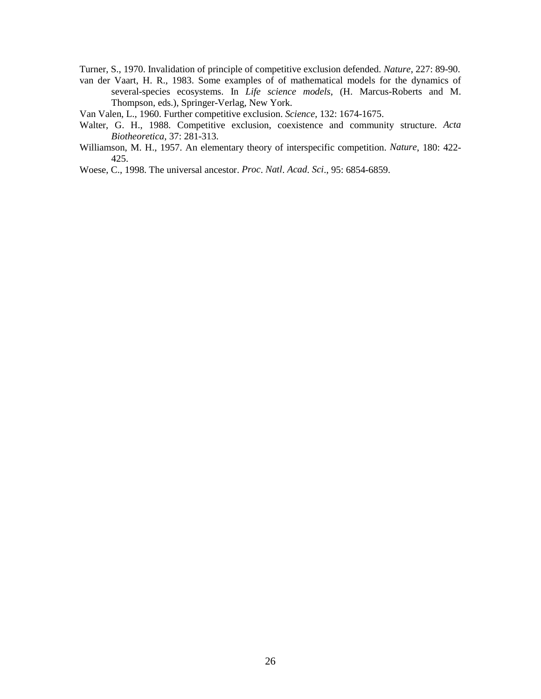Turner, S., 1970. Invalidation of principle of competitive exclusion defended. *Nature*, 227: 89-90.

van der Vaart, H. R., 1983. Some examples of of mathematical models for the dynamics of several-species ecosystems. In *Life science models*, (H. Marcus-Roberts and M. Thompson, eds.), Springer-Verlag, New York.

Van Valen, L., 1960. Further competitive exclusion. *Science*, 132: 1674-1675.

- Walter, G. H., 1988. Competitive exclusion, coexistence and community structure. *Acta Biotheoretica*, 37: 281-313.
- Williamson, M. H., 1957. An elementary theory of interspecific competition. *Nature*, 180: 422- 425.

Woese, C., 1998. The universal ancestor. *Proc*. *Natl*. *Acad*. *Sci*., 95: 6854-6859.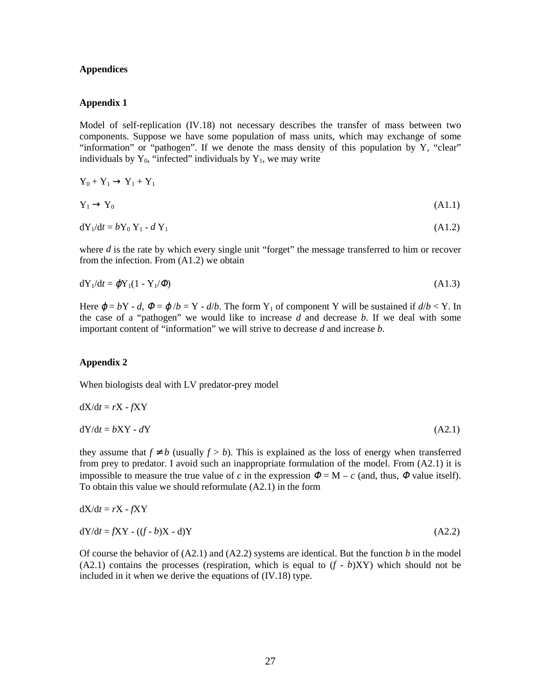# **Appendices**

# **Appendix 1**

Model of self-replication (IV.18) not necessary describes the transfer of mass between two components. Suppose we have some population of mass units, which may exchange of some "information" or "pathogen". If we denote the mass density of this population by Y, "clear" individuals by  $Y_0$ , "infected" individuals by  $Y_1$ , we may write

$$
Y_0 + Y_1 \to Y_1 + Y_1
$$
  
\n
$$
Y_1 \to Y_0
$$
\n
$$
(A1.1)
$$

$$
\mathrm{d}Y_1/\mathrm{d}t = bY_0 Y_1 - dY_1 \tag{A1.2}
$$

where *d* is the rate by which every single unit "forget" the message transferred to him or recover from the infection. From (A1.2) we obtain

$$
dY_1/dt = \varphi Y_1(1 - Y_1/\varPhi) \tag{A1.3}
$$

Here  $\varphi = bY - d$ ,  $\varphi = \varphi/b = Y - d/b$ . The form  $Y_1$  of component Y will be sustained if  $d/b < Y$ . In the case of a "pathogen" we would like to increase *d* and decrease *b*. If we deal with some important content of "information" we will strive to decrease *d* and increase *b.*

#### **Appendix 2**

When biologists deal with LV predator-prey model

$$
dX/dt = rX - fXY
$$
  
\n
$$
dY/dt = bXY - dY
$$
\n(A2.1)

they assume that  $f \neq b$  (usually  $f > b$ ). This is explained as the loss of energy when transferred from prey to predator. I avoid such an inappropriate formulation of the model. From (A2.1) it is impossible to measure the true value of *c* in the expression  $\Phi = M - c$  (and, thus,  $\Phi$  value itself). To obtain this value we should reformulate (A2.1) in the form

$$
dX/dt = rX - fXY
$$
  
\n
$$
dY/dt = fXY - ((f - b)X - d)Y
$$
\n(A2.2)

Of course the behavior of (A2.1) and (A2.2) systems are identical. But the function *b* in the model  $(A2.1)$  contains the processes (respiration, which is equal to  $(f - b)XY$ ) which should not be included in it when we derive the equations of (IV.18) type.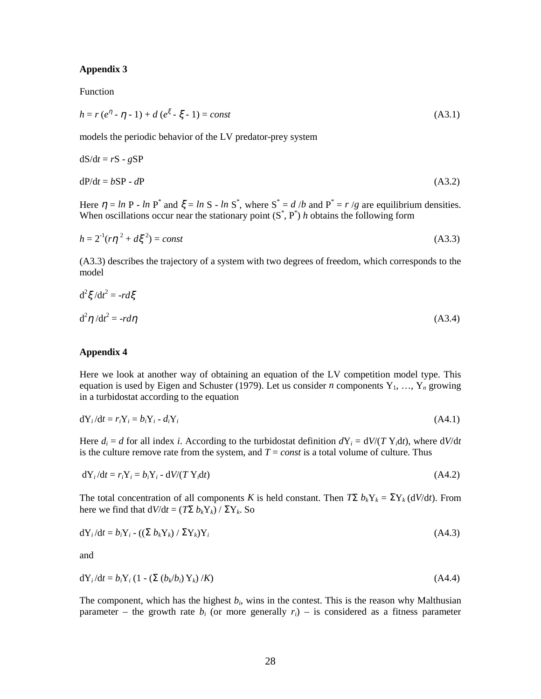# **Appendix 3**

Function

$$
h = r(e^{\eta} - \eta - 1) + d(e^{\xi} - \xi - 1) = const
$$
\n(A3.1)

models the periodic behavior of the LV predator-prey system

$$
dS/dt = rS - gSP
$$
  
 
$$
dP/dt = bSP - dP
$$
 (A3.2)

Here  $\eta = \ln P - \ln P^*$  and  $\xi = \ln S - \ln S^*$ , where  $S^* = d/b$  and  $P^* = r/g$  are equilibrium densities. When oscillations occur near the stationary point  $(S^*, P^*)$  *h* obtains the following form

$$
h = 2^{1}(r\eta^{2} + d\xi^{2}) = const
$$
 (A3.3)

(A3.3) describes the trajectory of a system with two degrees of freedom, which corresponds to the model

$$
d^2 \xi / dt^2 = -rd\xi
$$
  

$$
d^2 \eta / dt^2 = -rd\eta
$$
 (A3.4)

# **Appendix 4**

Here we look at another way of obtaining an equation of the LV competition model type. This equation is used by Eigen and Schuster (1979). Let us consider *n* components  $Y_1, \ldots, Y_n$  growing in a turbidostat according to the equation

$$
dY_i/dt = r_i Y_i = b_i Y_i - d_i Y_i \tag{A4.1}
$$

Here  $d_i = d$  for all index *i*. According to the turbidostat definition  $dY_i = dV/(T Y_i dt)$ , where  $dV/dt$ is the culture remove rate from the system, and  $T = const$  is a total volume of culture. Thus

$$
dY_i/dt = r_i Y_i = b_i Y_i - dV/(T Y_i dt)
$$
\n(A4.2)

The total concentration of all components *K* is held constant. Then  $T\Sigma b_kY_k = \Sigma Y_k (dV/dt)$ . From here we find that  $dV/dt = (T\Sigma b_k Y_k) / \Sigma Y_k$ . So

$$
dY_i/dt = b_i Y_i - ((\Sigma b_k Y_k) / \Sigma Y_k)Y_i
$$
\n(A4.3)

and

$$
dY_i/dt = b_i Y_i (1 - (\Sigma (b_k/b_i) Y_k) / K)
$$
\n(A4.4)

The component, which has the highest  $b_i$ , wins in the contest. This is the reason why Malthusian parameter – the growth rate  $b_i$  (or more generally  $r_i$ ) – is considered as a fitness parameter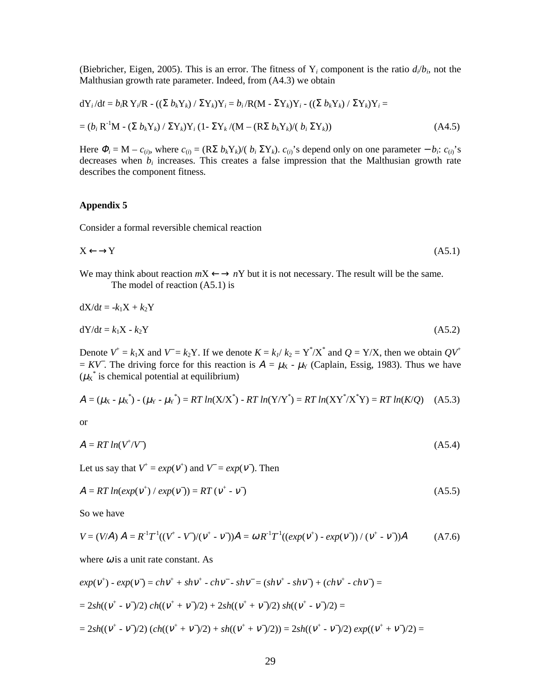(Biebricher, Eigen, 2005). This is an error. The fitness of  $Y_i$  component is the ratio  $d_i/b_i$ , not the Malthusian growth rate parameter. Indeed, from (A4.3) we obtain

$$
dY_i/dt = b_i R Y_i/R - ((\Sigma b_k Y_k) / \Sigma Y_k)Y_i = b_i / R(M - \Sigma Y_k)Y_i - ((\Sigma b_k Y_k) / \Sigma Y_k)Y_i =
$$
  
=  $(b_i R^{-1}M - (\Sigma b_k Y_k) / \Sigma Y_k)Y_i (1 - \Sigma Y_k/(M - (R\Sigma b_k Y_k)/(b_i \Sigma Y_k))$  (A4.5)

Here  $\Phi_i = M - c_{(i)}$ , where  $c_{(i)} = (R\Sigma b_k Y_k)/(b_i \Sigma Y_k)$ .  $c_{(i)}$ 's depend only on one parameter  $-b_i$ :  $c_{(i)}$ 's decreases when  $b_i$  increases. This creates a false impression that the Malthusian growth rate describes the component fitness.

# **Appendix 5**

Consider a formal reversible chemical reaction

$$
X \leftarrow \rightarrow Y \tag{A5.1}
$$

We may think about reaction  $mX \leftarrow \rightarrow nY$  but it is not necessary. The result will be the same. The model of reaction (A5.1) is

$$
dX/dt = -k_1X + k_2Y
$$

$$
dY/dt = k_1 X - k_2 Y \tag{A5.2}
$$

Denote  $V^+ = k_1 X$  and  $V = k_2 Y$ . If we denote  $K = k_1 / k_2 = Y^* / X^*$  and  $Q = Y / X$ , then we obtain  $QV^+$  $= KV$ . The driving force for this reaction is  $A = \mu_X - \mu_Y$  (Caplain, Essig, 1983). Thus we have  $(\mu_X^*$  is chemical potential at equilibrium)

$$
A = (\mu_X - \mu_X^*) - (\mu_Y - \mu_Y^*) = RT \ln(X/X^*) - RT \ln(Y/Y^*) = RT \ln(XY^* / X^*Y) = RT \ln(K/Q) \quad (A5.3)
$$

or

$$
A = RT \ln(V^{\dagger}/V) \tag{A5.4}
$$

Let us say that  $V^+ = exp(V^+)$  and  $V = exp(V^-)$ . Then

$$
A = RT \ln(\exp(\mathbf{v}^+) / \exp(\mathbf{v}^*)) = RT (\mathbf{v}^+ - \mathbf{v}^*)
$$
\n
$$
(A5.5)
$$

So we have

$$
V = (V/A) A = R^{-1}T^{-1}((V^+ - V)/(V^+ - V^+))A = \omega R^{-1}T^{-1}((exp(V^+) - exp(V^-)) / (V^+ - V^-))A
$$
 (A7.6)

where  $\omega$  is a unit rate constant. As

$$
exp(v^{+}) - exp(v^{-}) = chv^{+} + shv^{+} - chv^{-} - shv^{-} = (shv^{+} - shv^{-}) + (chv^{+} - chv^{-}) =
$$
  
= 2sh((v^{+} - v^{-})/2) ch((v^{+} + v^{-})/2) + 2sh((v^{+} + v^{-})/2) sh((v^{+} - v^{-})/2) =  
= 2sh((v^{+} - v^{-})/2) (ch((v^{+} + v^{-})/2) + sh((v^{+} + v^{-})/2)) = 2sh((v^{+} - v^{-})/2) exp((v^{+} + v^{-})/2) =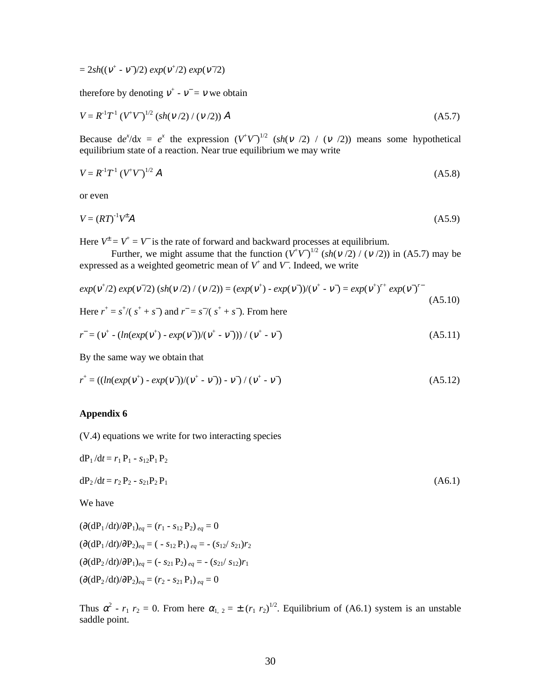$= 2sh((v^+ - v^-)/2) exp(v^+/2) exp(v^-/2)$ 

therefore by denoting  $v^+$  -  $v^-$  = v we obtain

$$
V = R^{1}T^{1} (V^{+}V)^{1/2} (sh(v/2) / (v/2)) A
$$
 (A5.7)

Because  $de^{x}/dx = e^{x}$  the expression  $(V^{\dagger}V)^{1/2}$  (*sh*(v /2) / (v /2)) means some hypothetical equilibrium state of a reaction. Near true equilibrium we may write

$$
V = R^{1}T^{1} (V^{+}V)^{1/2} A
$$
 (A5.8)

or even

$$
V = (RT)^{-1}V^{\pm}A
$$
 (A5.9)

Here  $V^{\pm} = V^{\pm} = V$  is the rate of forward and backward processes at equilibrium.

Further, we might assume that the function  $(V^{\dagger}V)^{1/2}$  (*sh*( $v$  /2) / ( $v$  /2)) in (A5.7) may be expressed as a weighted geometric mean of *V*<sup>+</sup> and *V*<sup>−</sup> . Indeed, we write

$$
exp(v^{+}/2) exp(v^{-}/2) (sh(v/2) / (v/2)) = (exp(v^{+}) - exp(v^{-})) / (v^{+} - v^{-}) = exp(v^{+})^{r+} exp(v^{-})^{r-}
$$
\n(A5.10)  
\nHere  $r^{+} = s^{+}/(s^{+} + s^{-})$  and  $r^{-} = s^{-}/(s^{+} + s^{-})$ . From here

$$
r^{-} = (\nu^{+} - (ln(exp(\nu^{+}) - exp(\nu^{-})) / (\nu^{+} - \nu^{-})) / (\nu^{+} - \nu^{-})
$$
\n(A5.11)

By the same way we obtain that

$$
r^{+} = ((ln(exp(v^{+}) - exp(v^{-}))(v^{+} - v^{-})) - v^{-}) / (v^{+} - v^{-})
$$
\n(A5.12)

# **Appendix 6**

(V.4) equations we write for two interacting species

$$
dP_1/dt = r_1 P_1 - s_{12} P_1 P_2
$$

$$
dP_2/dt = r_2 P_2 - s_{21} P_2 P_1 \tag{A6.1}
$$

We have

 $(\partial (\mathrm{dP}_1/\mathrm{d}t)/\partial P_1)_{ea} = (r_1 - s_{12} P_2)_{ea} = 0$  $(\partial(\mathrm{dP}_1/\mathrm{d}t)/\partial \mathrm{P}_2)_{ea} = (-s_{12} \mathrm{P}_1)_{ea} = -(s_{12}/s_{21})r_2$  $(\partial (\mathrm{dP}_2/\mathrm{d}t)/\partial \mathrm{P}_1)_{eq}$  = (- *s*<sub>21</sub> P<sub>2</sub>)<sub>*eq*</sub> = - (*s*<sub>21</sub>/ *s*<sub>12</sub>)*r*<sub>1</sub>  $(\partial(\mathrm{dP}_2/\mathrm{d}t)/\partial P_2)_{ea} = (r_2 - s_{21} P_1)_{ea} = 0$ 

Thus  $\alpha^2$  -  $r_1$   $r_2$  = 0. From here  $\alpha_{1,2} = \pm (r_1 \ r_2)^{1/2}$ . Equilibrium of (A6.1) system is an unstable saddle point.